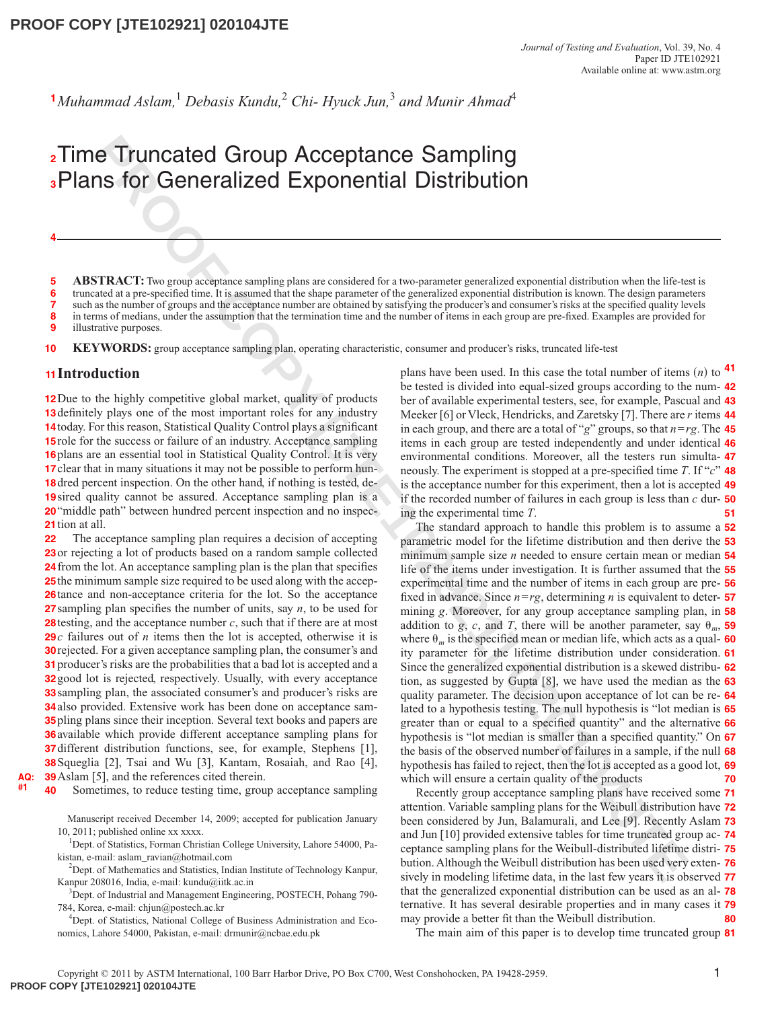<sup>1</sup>Muhammad Aslam,<sup>1</sup> Debasis Kundu,<sup>2</sup> Chi- Hyuck Jun,<sup>3</sup> and Munir Ahmad<sup>4</sup>

# Time Truncated Group Acceptance Sampling **2** Plans for Generalized Exponential Distribution **3**

**ABSTRACT:** Two group acceptance sampling plans are considered for a two-parameter generalized exponential distribution when the life-test is truncated at a pre-specified time. It is assumed that the shape parameter of the generalized exponential distribution is known. The design parameters such as the number of groups and the acceptance number are obtained by satisfying the producer's and consumer's risks at the specified quality levels in terms of medians, under the assumption that the termination time and the number of items in each group are pre-fixed. Examples are provided for **5 6 7 8**

illustrative purposes. **9**

**KEYWORDS:** group acceptance sampling plan, operating characteristic, consumer and producer's risks, truncated life-test **10**

### **Introduction 11**

**4**

12 Due to the highly competitive global market, quality of products **13** definitely plays one of the most important roles for any industry 14today. For this reason, Statistical Quality Control plays a significant **15** role for the success or failure of an industry. Acceptance sampling 16 plans are an essential tool in Statistical Quality Control. It is very **17** clear that in many situations it may not be possible to perform hun-18 dred percent inspection. On the other hand, if nothing is tested, de-**19** sired quality cannot be assured. Acceptance sampling plan is a **20** "middle path" between hundred percent inspection and no inspec-**21** tion at all.

The acceptance sampling plan requires a decision of accepting 23 or rejecting a lot of products based on a random sample collected from the lot. An acceptance sampling plan is the plan that specifies the minimum sample size required to be used along with the accep-26 tance and non-acceptance criteria for the lot. So the acceptance sampling plan specifies the number of units, say  $n$ , to be used for testing, and the acceptance number  $c$ , such that if there are at most *c* failures out of *n* items then the lot is accepted, otherwise it is **29** rejected. For a given acceptance sampling plan, the consumer's and producer's risks are the probabilities that a bad lot is accepted and a good lot is rejected, respectively. Usually, with every acceptance sampling plan, the associated consumer's and producer's risks are also provided. Extensive work has been done on acceptance sam- pling plans since their inception. Several text books and papers are available which provide different acceptance sampling plans for different distribution functions, see, for example, Stephens [1], Squeglia [2], Tsai and Wu [3], Kantam, Rosaiah, and Rao [4], **38** Aslam [5], and the references cited therein. **22**

**AQ: #1**

Sometimes, to reduce testing time, group acceptance sampling **40**

Manuscript received December 14, 2009; accepted for publication January 10, 2011; published online xx xxxx.

<sup>1</sup>Dept. of Statistics, Forman Christian College University, Lahore 54000, Pakistan, e-mail: aslam\_ravian@hotmail.com

<sup>2</sup>Dept. of Mathematics and Statistics, Indian Institute of Technology Kanpur, Kanpur 208016, India, e-mail: kundu@iitk.ac.in

<sup>3</sup>Dept. of Industrial and Management Engineering, POSTECH, Pohang 790-784, Korea, e-mail: chjun@postech.ac.kr

4 Dept. of Statistics, National College of Business Administration and Economics, Lahore 54000, Pakistan, e-mail: drmunir@ncbae.edu.pk

plans have been used. In this case the total number of items  $(n)$  to  $41$ be tested is divided into equal-sized groups according to the num-**42** ber of available experimental testers, see, for example, Pascual and **43** Meeker [6] or Vleck, Hendricks, and Zaretsky [7]. There are *r* items **44** in each group, and there are a total of "*g*" groups, so that *n*=*rg*. The **45** items in each group are tested independently and under identical **46** environmental conditions. Moreover, all the testers run simulta-**47** neously. The experiment is stopped at a pre-specified time *T*. If "*c*" **48** is the acceptance number for this experiment, then a lot is accepted **49** if the recorded number of failures in each group is less than *c* dur-**50** ing the experimental time *T*. **51**

**PTEARING Group Acceptance Sampling**<br> **PROPRENT CONVERT CONVENTION SECTION CONVERT CONVERT CONVERT CONVERT CONVERT CONVERT CONVERT CONVERT CONVERT CONVERT CONVERT CONVERT CONVERT CONVERT CONVERT CONVERT CONVERT CONVERT CON** The standard approach to handle this problem is to assume a **52** parametric model for the lifetime distribution and then derive the **53** minimum sample size *n* needed to ensure certain mean or median **54** life of the items under investigation. It is further assumed that the **55** experimental time and the number of items in each group are pre-**56** fixed in advance. Since *n*=*rg*, determining *n* is equivalent to deter-**57** mining *g*. Moreover, for any group acceptance sampling plan, in **58** addition to *g*, *c*, and *T*, there will be another parameter, say  $\theta_m$ , **59** where  $\theta_m$  is the specified mean or median life, which acts as a qual- **60** ity parameter for the lifetime distribution under consideration. **61** Since the generalized exponential distribution is a skewed distribu-**62** tion, as suggested by Gupta [8], we have used the median as the **63** quality parameter. The decision upon acceptance of lot can be re-**64** lated to a hypothesis testing. The null hypothesis is "lot median is **65** greater than or equal to a specified quantity" and the alternative **66** hypothesis is "lot median is smaller than a specified quantity." On **67** the basis of the observed number of failures in a sample, if the null **68** hypothesis has failed to reject, then the lot is accepted as a good lot, **69** which will ensure a certain quality of the products **70**

Recently group acceptance sampling plans have received some **71** attention. Variable sampling plans for the Weibull distribution have **72** been considered by Jun, Balamurali, and Lee [9]. Recently Aslam **73** and Jun [10] provided extensive tables for time truncated group ac-**74** ceptance sampling plans for the Weibull-distributed lifetime distri-**75** bution. Although the Weibull distribution has been used very exten-**76** sively in modeling lifetime data, in the last few years it is observed **77** that the generalized exponential distribution can be used as an al-**78** ternative. It has several desirable properties and in many cases it **79** may provide a better fit than the Weibull distribution. **80**

The main aim of this paper is to develop time truncated group **81**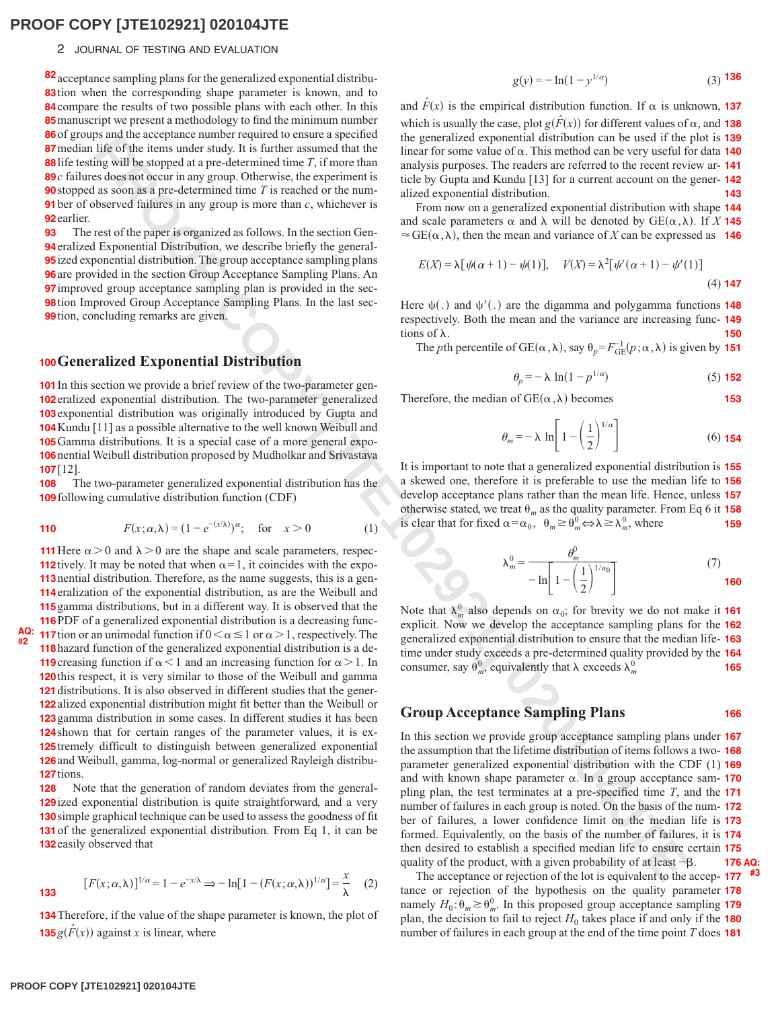#### 2 JOURNAL OF TESTING AND EVALUATION

82 acceptance sampling plans for the generalized exponential distribu-**83** tion when the corresponding shape parameter is known, and to **84** compare the results of two possible plans with each other. In this **85** manuscript we present a methodology to find the minimum number 86 of groups and the acceptance number required to ensure a specified 87 median life of the items under study. It is further assumed that the **88** life testing will be stopped at a pre-determined time  $T$ , if more than *c* failures does not occur in any group. Otherwise, the experiment is **89 90** stopped as soon as a pre-determined time  $T$  is reached or the num-**91** ber of observed failures in any group is more than  $c$ , whichever is **92** earlier.

The rest of the paper is organized as follows. In the section Gen- eralized Exponential Distribution, we describe briefly the general- ized exponential distribution. The group acceptance sampling plans are provided in the section Group Acceptance Sampling Plans. An improved group acceptance sampling plan is provided in the sec- tion Improved Group Acceptance Sampling Plans. In the last sec- tion, concluding remarks are given. **93**

### **100 Generalized Exponential Distribution**

**101** In this section we provide a brief review of the two-parameter gen-**102** eralized exponential distribution. The two-parameter generalized 103 exponential distribution was originally introduced by Gupta and **104** Kundu [11] as a possible alternative to the well known Weibull and 105 Gamma distributions. It is a special case of a more general expo-106 nential Weibull distribution proposed by Mudholkar and Srivastava [12]. **107**

The two-parameter generalized exponential distribution has the **109** following cumulative distribution function (CDF) **108**

**110** 
$$
F(x; \alpha, \lambda) = (1 - e^{-(x/\lambda)})^{\alpha}
$$
; for  $x > 0$  (1)

**PRODUCED ASSEMBLE CONFIRMATION CONFIRMATION CONFIRMATION CONFIRMATION CONFIRMATION CONFIRMATION CONFIRMATION CONFIRMATION CONFIRMATION CONFIRMATION CONFIRMATION CONFIRMATION CONFIRMATION CONFIRMATION CONFIRMATION CONFIRM 111** Here  $\alpha > 0$  and  $\lambda > 0$  are the shape and scale parameters, respec-**112** tively. It may be noted that when  $\alpha = 1$ , it coincides with the expo-113 nential distribution. Therefore, as the name suggests, this is a gen-**114** eralization of the exponential distribution, as are the Weibull and 115 gamma distributions, but in a different way. It is observed that the **116** PDF of a generalized exponential distribution is a decreasing func-**117** tion or an unimodal function if  $0 < \alpha \le 1$  or  $\alpha > 1$ , respectively. The **118** hazard function of the generalized exponential distribution is a de-**119** creasing function if  $\alpha < 1$  and an increasing function for  $\alpha > 1$ . In **120** this respect, it is very similar to those of the Weibull and gamma 121 distributions. It is also observed in different studies that the gener-**122** alized exponential distribution might fit better than the Weibull or 123 gamma distribution in some cases. In different studies it has been 124 shown that for certain ranges of the parameter values, it is ex-125 tremely difficult to distinguish between generalized exponential 126 and Weibull, gamma, log-normal or generalized Rayleigh distribu-**127** tions.

Note that the generation of random deviates from the general-**129** ized exponential distribution is quite straightforward, and a very **130** simple graphical technique can be used to assess the goodness of fit **131** of the generalized exponential distribution. From Eq 1, it can be 132 easily observed that **128**

$$
[F(x; \alpha, \lambda)]^{1/\alpha} = 1 - e^{-x/\lambda} \Rightarrow -\ln[1 - (F(x; \alpha, \lambda))^{1/\alpha}] = \frac{x}{\lambda}
$$
 (2)

**134** Therefore, if the value of the shape parameter is known, the plot of **135** $g(\hat{F}(x))$  against *x* is linear, where

$$
g(y) = -\ln(1 - y^{1/\alpha})
$$
 (3) 136

and  $\hat{F}(x)$  is the empirical distribution function. If  $\alpha$  is unknown, **137** which is usually the case, plot  $g(\hat{F}(x))$  for different values of  $\alpha$ , and **138** the generalized exponential distribution can be used if the plot is **139** linear for some value of  $\alpha$ . This method can be very useful for data **140** analysis purposes. The readers are referred to the recent review ar-**141** ticle by Gupta and Kundu [13] for a current account on the gener-**142** alized exponential distribution. **143**

From now on a generalized exponential distribution with shape **144** and scale parameters  $\alpha$  and  $\lambda$  will be denoted by  $GE(\alpha, \lambda)$ . If *X* **145**  $\approx$  GE( $\alpha$ , $\lambda$ ), then the mean and variance of *X* can be expressed as **146** 

$$
E(X) = \lambda [\psi(\alpha + 1) - \psi(1)], \quad V(X) = \lambda^2 [\psi'(\alpha + 1) - \psi'(1)]
$$
\n(4) 147

Here  $\psi(.)$  and  $\psi'(.)$  are the digamma and polygamma functions **148** respectively. Both the mean and the variance are increasing func-**149** tions of  $\lambda$ . **150**

The *p*th percentile of GE( $\alpha$ ,  $\lambda$ ), say  $\theta_p = F_{GE}^{-1}(p; \alpha, \lambda)$  is given by **151** 

$$
\theta_p = -\lambda \ln(1 - p^{1/\alpha}) \tag{5) 152}
$$

**153**

**#3**

Therefore, the median of  $GE(\alpha, \lambda)$  becomes

$$
\theta_m = -\lambda \ln \left[ 1 - \left(\frac{1}{2}\right)^{1/\alpha} \right] \tag{6) 154}
$$

It is important to note that a generalized exponential distribution is **155** a skewed one, therefore it is preferable to use the median life to **156** develop acceptance plans rather than the mean life. Hence, unless **157** otherwise stated, we treat  $\theta_m$  as the quality parameter. From Eq 6 it **158** is clear that for fixed  $\alpha = \alpha_0, \ \theta_m \ge \theta_m^0 \Leftrightarrow \lambda \ge \lambda_m^0$ , where **159**

$$
\lambda_m^0 = \frac{\theta_m^0}{-\ln\left[1 - \left(\frac{1}{2}\right)^{1/\alpha_0}\right]}
$$
(7)

Note that  $\lambda_m^0$  also depends on  $\alpha_0$ ; for brevity we do not make it **161** explicit. Now we develop the acceptance sampling plans for the **162** generalized exponential distribution to ensure that the median life-**163** time under study exceeds a pre-determined quality provided by the **164** consumer, say  $\theta_m^0$ , equivalently that  $\lambda$  exceeds  $\lambda_m^0$ **165**

#### **Group Acceptance Sampling Plans 166**

In this section we provide group acceptance sampling plans under **167** the assumption that the lifetime distribution of items follows a two-**168** parameter generalized exponential distribution with the CDF (1) **169** and with known shape parameter  $\alpha$ . In a group acceptance sam- $170$ pling plan, the test terminates at a pre-specified time *T*, and the **171** number of failures in each group is noted. On the basis of the num-**172** ber of failures, a lower confidence limit on the median life is **173** formed. Equivalently, on the basis of the number of failures, it is **174** then desired to establish a specified median life to ensure certain **175** quality of the product, with a given probability of at least  $-\beta$ . **176 AQ:**

The acceptance or rejection of the lot is equivalent to the accep-**177** tance or rejection of the hypothesis on the quality parameter **178** namely  $H_0: \theta_m \geq \theta_m^0$ . In this proposed group acceptance sampling **179** plan, the decision to fail to reject  $H_0$  takes place if and only if the **180** number of failures in each group at the end of the time point *T* does **181**

**AQ: #2**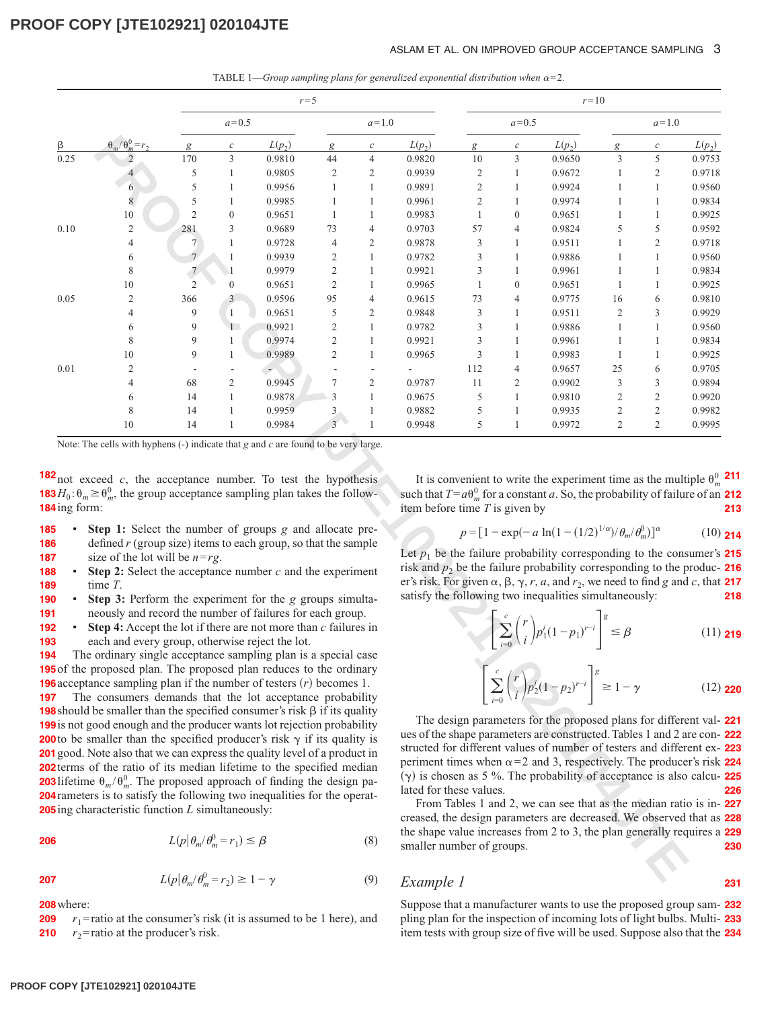#### ASLAM ET AL. ON IMPROVED GROUP ACCEPTANCE SAMPLING 3

TABLE 1—*Group sampling plans for generalized exponential distribution when*  $\alpha = 2$ *.* 

|                     |                                                                                                                                                                                                                                                                                                                                                                                                                                                                                                                                                                                                                                                                                                                                     |                 |                                             | $r=5$    |                |                  |                                                      |                | $r=10$         |                                                                                                                                                                                                                                                                                                                                                                                                                                                                                                                                                                                          |                |                  |              |  |
|---------------------|-------------------------------------------------------------------------------------------------------------------------------------------------------------------------------------------------------------------------------------------------------------------------------------------------------------------------------------------------------------------------------------------------------------------------------------------------------------------------------------------------------------------------------------------------------------------------------------------------------------------------------------------------------------------------------------------------------------------------------------|-----------------|---------------------------------------------|----------|----------------|------------------|------------------------------------------------------|----------------|----------------|------------------------------------------------------------------------------------------------------------------------------------------------------------------------------------------------------------------------------------------------------------------------------------------------------------------------------------------------------------------------------------------------------------------------------------------------------------------------------------------------------------------------------------------------------------------------------------------|----------------|------------------|--------------|--|
|                     |                                                                                                                                                                                                                                                                                                                                                                                                                                                                                                                                                                                                                                                                                                                                     |                 | $a=0.5$                                     |          |                | $a=1.0$          |                                                      |                | $a=0.5$        |                                                                                                                                                                                                                                                                                                                                                                                                                                                                                                                                                                                          |                | $a=1.0$          |              |  |
| β                   | $\theta_m/\theta_m^0=r_2$                                                                                                                                                                                                                                                                                                                                                                                                                                                                                                                                                                                                                                                                                                           | g               | $\boldsymbol{c}$                            | $L(p_2)$ | g              | $\boldsymbol{c}$ | $L(p_2)$                                             | g              | $\mathcal C$   | $L(p_2)$                                                                                                                                                                                                                                                                                                                                                                                                                                                                                                                                                                                 | g              | $\boldsymbol{c}$ | $L(p_2)$     |  |
| 0.25                |                                                                                                                                                                                                                                                                                                                                                                                                                                                                                                                                                                                                                                                                                                                                     | 170             | 3                                           | 0.9810   | 44             | $\overline{4}$   | 0.9820                                               | 10             | 3              | 0.9650                                                                                                                                                                                                                                                                                                                                                                                                                                                                                                                                                                                   | 3              | 5                | 0.9753       |  |
|                     |                                                                                                                                                                                                                                                                                                                                                                                                                                                                                                                                                                                                                                                                                                                                     | 5               | $\mathbf{1}$                                | 0.9805   | $\mathfrak{2}$ | 2                | 0.9939                                               | $\overline{c}$ | 1              | 0.9672                                                                                                                                                                                                                                                                                                                                                                                                                                                                                                                                                                                   | 1              | $\mathbf{2}$     | 0.9718       |  |
|                     | 6                                                                                                                                                                                                                                                                                                                                                                                                                                                                                                                                                                                                                                                                                                                                   | 5               | 1                                           | 0.9956   | $\mathbf{1}$   | $\mathbf{1}$     | 0.9891                                               | $\sqrt{2}$     | $\mathbf{1}$   | 0.9924                                                                                                                                                                                                                                                                                                                                                                                                                                                                                                                                                                                   | $\mathbf{1}$   | $\mathbf{1}$     | 0.9560       |  |
|                     | $\,$ 8 $\,$                                                                                                                                                                                                                                                                                                                                                                                                                                                                                                                                                                                                                                                                                                                         | 5               | 1                                           | 0.9985   | $\mathbf{1}$   | 1                | 0.9961                                               | $\overline{c}$ | 1              | 0.9974                                                                                                                                                                                                                                                                                                                                                                                                                                                                                                                                                                                   | 1              | $\mathbf{1}$     | 0.9834       |  |
|                     | 10                                                                                                                                                                                                                                                                                                                                                                                                                                                                                                                                                                                                                                                                                                                                  | $\overline{2}$  | $\mathbf{0}$                                | 0.9651   | $\mathbf{1}$   | 1                | 0.9983                                               | $\mathbf{1}$   | $\overline{0}$ | 0.9651                                                                                                                                                                                                                                                                                                                                                                                                                                                                                                                                                                                   | 1              | $\mathbf{1}$     | 0.9925       |  |
| 0.10                | $\mathfrak{2}$                                                                                                                                                                                                                                                                                                                                                                                                                                                                                                                                                                                                                                                                                                                      | 281             | 3                                           | 0.9689   | 73             | 4                | 0.9703                                               | 57             | 4              | 0.9824                                                                                                                                                                                                                                                                                                                                                                                                                                                                                                                                                                                   | 5              | 5                | 0.9592       |  |
|                     | 4                                                                                                                                                                                                                                                                                                                                                                                                                                                                                                                                                                                                                                                                                                                                   | $\overline{7}$  | 1                                           | 0.9728   | $\overline{4}$ | $\overline{c}$   | 0.9878                                               | 3              | 1              | 0.9511                                                                                                                                                                                                                                                                                                                                                                                                                                                                                                                                                                                   | 1              | $\overline{c}$   | 0.9718       |  |
|                     | 6                                                                                                                                                                                                                                                                                                                                                                                                                                                                                                                                                                                                                                                                                                                                   | $7\overline{ }$ |                                             | 0.9939   | $\sqrt{2}$     | $\mathbf{1}$     | 0.9782                                               | 3              | 1              | 0.9886                                                                                                                                                                                                                                                                                                                                                                                                                                                                                                                                                                                   | 1              | $\mathbf{1}$     | 0.9560       |  |
|                     | 8                                                                                                                                                                                                                                                                                                                                                                                                                                                                                                                                                                                                                                                                                                                                   | $\overline{7}$  |                                             | 0.9979   | $\overline{c}$ | $\mathbf{1}$     | 0.9921                                               | 3              | 1              | 0.9961                                                                                                                                                                                                                                                                                                                                                                                                                                                                                                                                                                                   | $\mathbf{1}$   | $\mathbf{1}$     | 0.9834       |  |
|                     | 10                                                                                                                                                                                                                                                                                                                                                                                                                                                                                                                                                                                                                                                                                                                                  | $\overline{2}$  | $\boldsymbol{0}$                            | 0.9651   | $\overline{c}$ | 1                | 0.9965                                               | $\mathbf{1}$   | $\overline{0}$ | 0.9651                                                                                                                                                                                                                                                                                                                                                                                                                                                                                                                                                                                   | 1              | $\mathbf{1}$     | 0.9925       |  |
| 0.05                | $\mathfrak{2}$                                                                                                                                                                                                                                                                                                                                                                                                                                                                                                                                                                                                                                                                                                                      | 366             | 3                                           | 0.9596   | 95             | $\overline{4}$   | 0.9615                                               | 73             | 4              | 0.9775                                                                                                                                                                                                                                                                                                                                                                                                                                                                                                                                                                                   | 16             | 6                | 0.9810       |  |
|                     | $\overline{4}$                                                                                                                                                                                                                                                                                                                                                                                                                                                                                                                                                                                                                                                                                                                      | 9               | 1                                           | 0.9651   | 5              | $\overline{c}$   | 0.9848                                               | 3              | 1              | 0.9511                                                                                                                                                                                                                                                                                                                                                                                                                                                                                                                                                                                   | $\overline{c}$ | 3                | 0.9929       |  |
|                     | 6                                                                                                                                                                                                                                                                                                                                                                                                                                                                                                                                                                                                                                                                                                                                   | 9               | 1                                           | 0.9921   | $\overline{c}$ | $\mathbf{1}$     | 0.9782                                               | 3              | 1              | 0.9886                                                                                                                                                                                                                                                                                                                                                                                                                                                                                                                                                                                   | 1              | $\mathbf{1}$     | 0.9560       |  |
|                     | 8                                                                                                                                                                                                                                                                                                                                                                                                                                                                                                                                                                                                                                                                                                                                   | 9               | 1                                           | 0.9974   | $\sqrt{2}$     | $\mathbf{1}$     | 0.9921                                               | 3              | 1              | 0.9961                                                                                                                                                                                                                                                                                                                                                                                                                                                                                                                                                                                   | 1              | $\mathbf{1}$     | 0.9834       |  |
|                     | 10                                                                                                                                                                                                                                                                                                                                                                                                                                                                                                                                                                                                                                                                                                                                  | 9               | 1                                           | 0.9989   | $\mathfrak{2}$ | $\mathbf{1}$     | 0.9965                                               | 3              | 1              | 0.9983                                                                                                                                                                                                                                                                                                                                                                                                                                                                                                                                                                                   | $\mathbf{1}$   | $\mathbf{1}$     | 0.9925       |  |
| 0.01                | $\overline{2}$                                                                                                                                                                                                                                                                                                                                                                                                                                                                                                                                                                                                                                                                                                                      |                 |                                             |          |                |                  | L.                                                   | 112            | 4              | 0.9657                                                                                                                                                                                                                                                                                                                                                                                                                                                                                                                                                                                   | 25             | 6                | 0.9705       |  |
|                     |                                                                                                                                                                                                                                                                                                                                                                                                                                                                                                                                                                                                                                                                                                                                     | 68              | $\overline{c}$                              | 0.9945   | 7              | 2                | 0.9787                                               | 11             | 2              | 0.9902                                                                                                                                                                                                                                                                                                                                                                                                                                                                                                                                                                                   | 3              | 3                | 0.9894       |  |
|                     | 6                                                                                                                                                                                                                                                                                                                                                                                                                                                                                                                                                                                                                                                                                                                                   | 14              | 1                                           | 0.9878   | 3              | 1                | 0.9675                                               | 5              | 1              | 0.9810                                                                                                                                                                                                                                                                                                                                                                                                                                                                                                                                                                                   | $\overline{c}$ | $\sqrt{2}$       | 0.9920       |  |
|                     | 8                                                                                                                                                                                                                                                                                                                                                                                                                                                                                                                                                                                                                                                                                                                                   | 14              |                                             | 0.9959   | 3              | 1                | 0.9882                                               | 5              | 1              | 0.9935                                                                                                                                                                                                                                                                                                                                                                                                                                                                                                                                                                                   | $\mathfrak{2}$ | $\sqrt{2}$       | 0.9982       |  |
|                     | 10                                                                                                                                                                                                                                                                                                                                                                                                                                                                                                                                                                                                                                                                                                                                  | 14              | 1                                           | 0.9984   | $\overline{3}$ | $\mathbf{1}$     | 0.9948                                               | 5              | $\mathbf{1}$   | 0.9972                                                                                                                                                                                                                                                                                                                                                                                                                                                                                                                                                                                   | $\overline{c}$ | $\overline{c}$   | 0.9995       |  |
|                     | Step 1: Select the number of groups g and allocate pre-<br>defined $r$ (group size) items to each group, so that the sample<br>size of the lot will be $n = rg$ .<br><b>Step 2:</b> Select the acceptance number $c$ and the experiment<br>time $T$ .                                                                                                                                                                                                                                                                                                                                                                                                                                                                               |                 |                                             |          |                |                  |                                                      |                |                | $p = [1 - \exp(-a \ln(1-(1/2)^{1/\alpha})/\theta_m/\theta_m^0)]^{\alpha}$<br>Let $p_1$ be the failure probability corresponding to the consumer's<br>risk and $p_2$ be the failure probability corresponding to the produc-<br>er's risk. For given $\alpha$ , $\beta$ , $\gamma$ , $r$ , $a$ , and $r_2$ , we need to find g and c, that                                                                                                                                                                                                                                                |                |                  | (10)         |  |
| D<br>٠<br>$\bullet$ | Step 3: Perform the experiment for the g groups simulta-<br>neously and record the number of failures for each group.<br>Step 4: Accept the lot if there are not more than $c$ failures in<br>each and every group, otherwise reject the lot.<br>The ordinary single acceptance sampling plan is a special case<br>5 of the proposed plan. The proposed plan reduces to the ordinary<br><b>6</b> acceptance sampling plan if the number of testers $(r)$ becomes 1.                                                                                                                                                                                                                                                                 |                 |                                             |          |                |                  |                                                      |                |                | satisfy the following two inequalities simultaneously:<br>$\sum_{i=0}^{c} {r \choose i} p_1^{i} (1-p_1)^{r-i} \Bigg ^{g} \leq \beta$<br>$\left  \sum_{i=0}^{c} \binom{r}{i} p_2^{i} (1-p_2)^{r-i} \right ^{g} \ge 1-\gamma$                                                                                                                                                                                                                                                                                                                                                              |                |                  | (11)<br>(12) |  |
|                     | The consumers demands that the lot acceptance probability<br><b>8</b> should be smaller than the specified consumer's risk $\beta$ if its quality<br>9 is not good enough and the producer wants lot rejection probability<br><b>O</b> to be smaller than the specified producer's risk $\gamma$ if its quality is<br>1 good. Note also that we can express the quality level of a product in<br><b>2</b> terms of the ratio of its median lifetime to the specified median<br><b>3</b> lifetime $\theta_m/\theta_m^0$ . The proposed approach of finding the design pa-<br><b>4</b> rameters is to satisfy the following two inequalities for the operat-<br>$\overline{\mathbf{5}}$ ing characteristic function L simultaneously: |                 | $L(p \theta_m/\theta_m^0=r_1)\leq \beta$    |          |                | (8)              | lated for these values.<br>smaller number of groups. |                |                | The design parameters for the proposed plans for different val-<br>ues of the shape parameters are constructed. Tables 1 and 2 are con-<br>structed for different values of number of testers and different ex-<br>periment times when $\alpha$ =2 and 3, respectively. The producer's risk<br>$(\gamma)$ is chosen as 5 %. The probability of acceptance is also calcu-<br>From Tables 1 and 2, we can see that as the median ratio is in-<br>creased, the design parameters are decreased. We observed that as<br>the shape value increases from 2 to 3, the plan generally requires a |                |                  |              |  |
|                     |                                                                                                                                                                                                                                                                                                                                                                                                                                                                                                                                                                                                                                                                                                                                     |                 | $L(p \theta_m/\theta_m^0=r_2)\geq 1-\gamma$ |          |                | (9)              | $F$ rample 1                                         |                |                |                                                                                                                                                                                                                                                                                                                                                                                                                                                                                                                                                                                          |                |                  |              |  |

- **Step 1:** Select the number of groups *g* and allocate predefined *r* (group size) items to each group, so that the sample size of the lot will be *n*=*rg*. **185 186 187**
- **Step 2:** Select the acceptance number *c* and the experiment time *T*. **188 189**
- **Step 3:** Perform the experiment for the *g* groups simultaneously and record the number of failures for each group. **190 191**
- **Step 4:** Accept the lot if there are not more than *c* failures in each and every group, otherwise reject the lot. **192 193**

$$
206
$$

**207**

$$
L(p|\theta_m/\theta_m^0 = r_2) \ge 1 - \gamma \tag{9}
$$

**208** where:

 $r_1$ = ratio at the consumer's risk (it is assumed to be 1 here), and  $r_2$ = ratio at the producer's risk. **209 210**

It is convenient to write the experiment time as the multiple  $\theta_m^0$  211 such that  $T=a\theta_m^0$  for a constant *a*. So, the probability of failure of an **212** item before time *T* is given by **213**

$$
p = [1 - \exp(-a \ln(1 - (1/2)^{1/\alpha})/\theta_m/\theta_m^0)]^{\alpha}
$$
 (10) **214**

Let  $p_1$  be the failure probability corresponding to the consumer's **215** risk and  $p_2$  be the failure probability corresponding to the produc- **216** er's risk. For given  $\alpha$ ,  $\beta$ ,  $\gamma$ ,  $r$ ,  $a$ , and  $r_2$ , we need to find  $g$  and  $c$ , that **217** satisfy the following two inequalities simultaneously: **218**

$$
\left[\sum_{i=0}^{c} {r \choose i} p_1^i (1-p_1)^{r-i}\right]^g \le \beta \tag{11.219}
$$

$$
\left[\sum_{i=0}^{c} \binom{r}{i} p_2^i (1-p_2)^{r-i}\right]^g \ge 1-\gamma
$$
 (12) **220**

**231**

The design parameters for the proposed plans for different val-**221** ues of the shape parameters are constructed. Tables 1 and 2 are con-**222** structed for different values of number of testers and different ex-**223** periment times when  $\alpha = 2$  and 3, respectively. The producer's risk **224**  $(\gamma)$  is chosen as 5 %. The probability of acceptance is also calcu- **225** lated for these values. **226**

From Tables 1 and 2, we can see that as the median ratio is in-**227** creased, the design parameters are decreased. We observed that as **228** the shape value increases from 2 to 3, the plan generally requires a **229** smaller number of groups. **230**

*Example 1*

Suppose that a manufacturer wants to use the proposed group sam-**232** pling plan for the inspection of incoming lots of light bulbs. Multi-**233** item tests with group size of five will be used. Suppose also that the **234**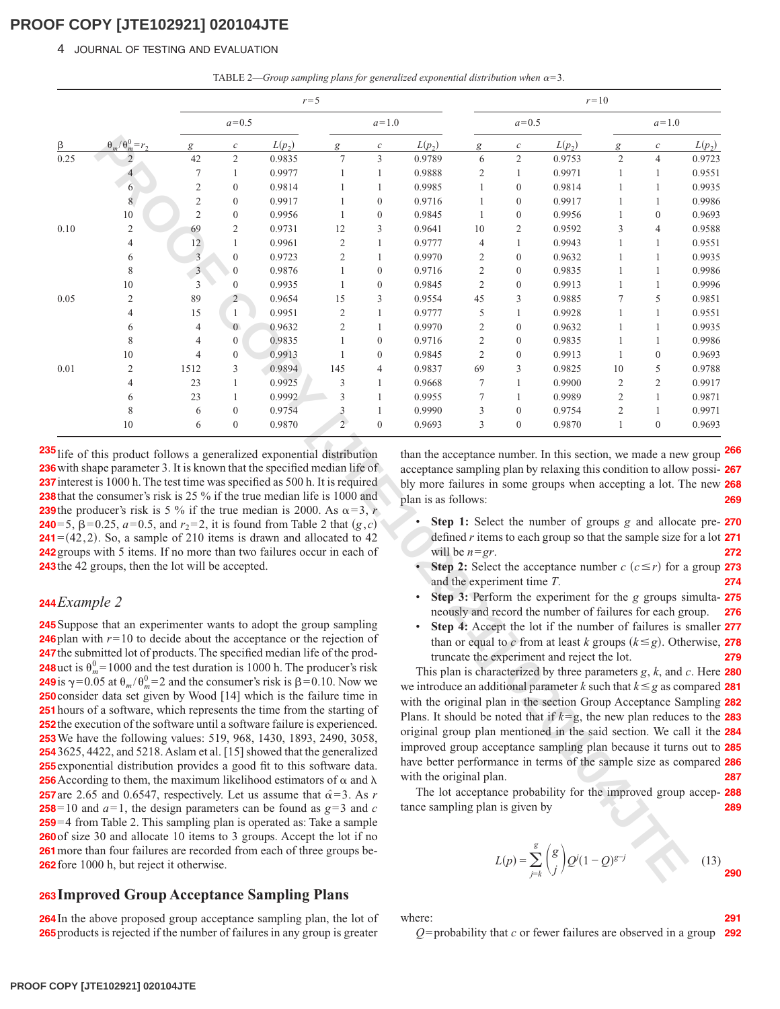#### 4 JOURNAL OF TESTING AND EVALUATION

TABLE 2—*Group sampling plans for generalized exponential distribution when*  $\alpha = 3$ *.* 

|      |                                                                                                                                                                                                                                                                                                                                                                                                                                                                                                                                                                                                                                                                                                                                                                                                                                                                                                                                                                                                                                                                                                                                                                                                                                                                                                                                                                                                                            |                         |                  | $r = 5$  |                      |                  | $r=10$                                                     |                                                |                  |                                                                                                                                                                                                                                                                                                                                                                                                                                                                                                                                                                                                                                                                                                                                                                                                                                                                                          |                |                  |          |
|------|----------------------------------------------------------------------------------------------------------------------------------------------------------------------------------------------------------------------------------------------------------------------------------------------------------------------------------------------------------------------------------------------------------------------------------------------------------------------------------------------------------------------------------------------------------------------------------------------------------------------------------------------------------------------------------------------------------------------------------------------------------------------------------------------------------------------------------------------------------------------------------------------------------------------------------------------------------------------------------------------------------------------------------------------------------------------------------------------------------------------------------------------------------------------------------------------------------------------------------------------------------------------------------------------------------------------------------------------------------------------------------------------------------------------------|-------------------------|------------------|----------|----------------------|------------------|------------------------------------------------------------|------------------------------------------------|------------------|------------------------------------------------------------------------------------------------------------------------------------------------------------------------------------------------------------------------------------------------------------------------------------------------------------------------------------------------------------------------------------------------------------------------------------------------------------------------------------------------------------------------------------------------------------------------------------------------------------------------------------------------------------------------------------------------------------------------------------------------------------------------------------------------------------------------------------------------------------------------------------------|----------------|------------------|----------|
|      |                                                                                                                                                                                                                                                                                                                                                                                                                                                                                                                                                                                                                                                                                                                                                                                                                                                                                                                                                                                                                                                                                                                                                                                                                                                                                                                                                                                                                            |                         | $a = 0.5$        |          |                      | $a=1.0$          |                                                            |                                                | $a = 0.5$        |                                                                                                                                                                                                                                                                                                                                                                                                                                                                                                                                                                                                                                                                                                                                                                                                                                                                                          |                | $a = 1.0$        |          |
|      | $\theta_m/\theta_m^0$<br>$=r2$                                                                                                                                                                                                                                                                                                                                                                                                                                                                                                                                                                                                                                                                                                                                                                                                                                                                                                                                                                                                                                                                                                                                                                                                                                                                                                                                                                                             |                         | $\boldsymbol{c}$ | $L(p_2)$ | g                    | $\boldsymbol{c}$ | $L(p_2)$                                                   | g                                              | $\mathcal C$     | $L(p_2)$                                                                                                                                                                                                                                                                                                                                                                                                                                                                                                                                                                                                                                                                                                                                                                                                                                                                                 | g              | $\mathcal C$     | $L(p_2)$ |
| 0.25 | $\overline{2}$                                                                                                                                                                                                                                                                                                                                                                                                                                                                                                                                                                                                                                                                                                                                                                                                                                                                                                                                                                                                                                                                                                                                                                                                                                                                                                                                                                                                             | 42                      | $\mathfrak{2}$   | 0.9835   | 7                    | 3                | 0.9789                                                     | 6                                              | $\overline{c}$   | 0.9753                                                                                                                                                                                                                                                                                                                                                                                                                                                                                                                                                                                                                                                                                                                                                                                                                                                                                   | $\mathfrak{2}$ | $\overline{4}$   | 0.9723   |
|      |                                                                                                                                                                                                                                                                                                                                                                                                                                                                                                                                                                                                                                                                                                                                                                                                                                                                                                                                                                                                                                                                                                                                                                                                                                                                                                                                                                                                                            | 7                       | 1                | 0.9977   | 1                    | $\mathbf{1}$     | 0.9888                                                     | 2                                              | $\mathbf{1}$     | 0.9971                                                                                                                                                                                                                                                                                                                                                                                                                                                                                                                                                                                                                                                                                                                                                                                                                                                                                   | 1              | 1                | 0.9551   |
|      | 6                                                                                                                                                                                                                                                                                                                                                                                                                                                                                                                                                                                                                                                                                                                                                                                                                                                                                                                                                                                                                                                                                                                                                                                                                                                                                                                                                                                                                          | $\mathbf{2}$            | $\boldsymbol{0}$ | 0.9814   | 1                    | $\mathbf{1}$     | 0.9985                                                     | 1                                              | $\boldsymbol{0}$ | 0.9814                                                                                                                                                                                                                                                                                                                                                                                                                                                                                                                                                                                                                                                                                                                                                                                                                                                                                   | 1              | 1                | 0.9935   |
|      | $\,$ 8 $\,$                                                                                                                                                                                                                                                                                                                                                                                                                                                                                                                                                                                                                                                                                                                                                                                                                                                                                                                                                                                                                                                                                                                                                                                                                                                                                                                                                                                                                | $\sqrt{2}$              | $\boldsymbol{0}$ | 0.9917   | 1                    | $\boldsymbol{0}$ | 0.9716                                                     | 1                                              | $\boldsymbol{0}$ | 0.9917                                                                                                                                                                                                                                                                                                                                                                                                                                                                                                                                                                                                                                                                                                                                                                                                                                                                                   | 1              | $\mathbf{1}$     | 0.9986   |
|      | 10                                                                                                                                                                                                                                                                                                                                                                                                                                                                                                                                                                                                                                                                                                                                                                                                                                                                                                                                                                                                                                                                                                                                                                                                                                                                                                                                                                                                                         | $\overline{2}$          | $\boldsymbol{0}$ | 0.9956   | 1                    | $\boldsymbol{0}$ | 0.9845                                                     | $\mathbf{1}$                                   | $\boldsymbol{0}$ | 0.9956                                                                                                                                                                                                                                                                                                                                                                                                                                                                                                                                                                                                                                                                                                                                                                                                                                                                                   | $\mathbf{1}$   | $\boldsymbol{0}$ | 0.9693   |
| 0.10 | $\overline{c}$                                                                                                                                                                                                                                                                                                                                                                                                                                                                                                                                                                                                                                                                                                                                                                                                                                                                                                                                                                                                                                                                                                                                                                                                                                                                                                                                                                                                             | 69                      | 2                | 0.9731   | 12                   | 3                | 0.9641                                                     | 10                                             | 2                | 0.9592                                                                                                                                                                                                                                                                                                                                                                                                                                                                                                                                                                                                                                                                                                                                                                                                                                                                                   | 3              | 4                | 0.9588   |
|      | 4                                                                                                                                                                                                                                                                                                                                                                                                                                                                                                                                                                                                                                                                                                                                                                                                                                                                                                                                                                                                                                                                                                                                                                                                                                                                                                                                                                                                                          | 12                      | 1                | 0.9961   | 2                    | 1                | 0.9777                                                     | $\overline{4}$                                 | $\mathbf{1}$     | 0.9943                                                                                                                                                                                                                                                                                                                                                                                                                                                                                                                                                                                                                                                                                                                                                                                                                                                                                   | 1              | 1                | 0.9551   |
|      | 6                                                                                                                                                                                                                                                                                                                                                                                                                                                                                                                                                                                                                                                                                                                                                                                                                                                                                                                                                                                                                                                                                                                                                                                                                                                                                                                                                                                                                          | $\overline{\mathbf{3}}$ | $\boldsymbol{0}$ | 0.9723   | 2                    | 1                | 0.9970                                                     | 2                                              | $\boldsymbol{0}$ | 0.9632                                                                                                                                                                                                                                                                                                                                                                                                                                                                                                                                                                                                                                                                                                                                                                                                                                                                                   | 1              | 1                | 0.9935   |
|      | 8                                                                                                                                                                                                                                                                                                                                                                                                                                                                                                                                                                                                                                                                                                                                                                                                                                                                                                                                                                                                                                                                                                                                                                                                                                                                                                                                                                                                                          | $\overline{\mathbf{3}}$ | $\boldsymbol{0}$ | 0.9876   | 1                    | $\boldsymbol{0}$ | 0.9716                                                     | $\overline{c}$                                 | $\boldsymbol{0}$ | 0.9835                                                                                                                                                                                                                                                                                                                                                                                                                                                                                                                                                                                                                                                                                                                                                                                                                                                                                   | $\mathbf{1}$   | $\mathbf{1}$     | 0.9986   |
|      | 10                                                                                                                                                                                                                                                                                                                                                                                                                                                                                                                                                                                                                                                                                                                                                                                                                                                                                                                                                                                                                                                                                                                                                                                                                                                                                                                                                                                                                         | 3                       | $\boldsymbol{0}$ | 0.9935   | 1                    | $\boldsymbol{0}$ | 0.9845                                                     | $\overline{c}$                                 | $\boldsymbol{0}$ | 0.9913                                                                                                                                                                                                                                                                                                                                                                                                                                                                                                                                                                                                                                                                                                                                                                                                                                                                                   | 1              | $\mathbf{1}$     | 0.9996   |
| 0.05 | $\overline{2}$                                                                                                                                                                                                                                                                                                                                                                                                                                                                                                                                                                                                                                                                                                                                                                                                                                                                                                                                                                                                                                                                                                                                                                                                                                                                                                                                                                                                             | 89                      | $\overline{2}$   | 0.9654   | 15                   | 3                | 0.9554                                                     | 45                                             | 3                | 0.9885                                                                                                                                                                                                                                                                                                                                                                                                                                                                                                                                                                                                                                                                                                                                                                                                                                                                                   | 7              | 5                | 0.9851   |
|      | $\overline{4}$                                                                                                                                                                                                                                                                                                                                                                                                                                                                                                                                                                                                                                                                                                                                                                                                                                                                                                                                                                                                                                                                                                                                                                                                                                                                                                                                                                                                             | 15                      | $\mathbf{1}$     | 0.9951   | 2                    | 1                | 0.9777                                                     | 5                                              | $\mathbf{1}$     | 0.9928                                                                                                                                                                                                                                                                                                                                                                                                                                                                                                                                                                                                                                                                                                                                                                                                                                                                                   | $\mathbf{1}$   | 1                | 0.9551   |
|      | 6                                                                                                                                                                                                                                                                                                                                                                                                                                                                                                                                                                                                                                                                                                                                                                                                                                                                                                                                                                                                                                                                                                                                                                                                                                                                                                                                                                                                                          | 4                       | $\mathbf{0}$     | 0.9632   | 2                    | 1                | 0.9970                                                     | 2                                              | $\boldsymbol{0}$ | 0.9632                                                                                                                                                                                                                                                                                                                                                                                                                                                                                                                                                                                                                                                                                                                                                                                                                                                                                   | 1              | 1                | 0.9935   |
|      | 8                                                                                                                                                                                                                                                                                                                                                                                                                                                                                                                                                                                                                                                                                                                                                                                                                                                                                                                                                                                                                                                                                                                                                                                                                                                                                                                                                                                                                          | 4                       | $\boldsymbol{0}$ | 0.9835   | 1                    | $\boldsymbol{0}$ | 0.9716                                                     | $\overline{c}$                                 | $\boldsymbol{0}$ | 0.9835                                                                                                                                                                                                                                                                                                                                                                                                                                                                                                                                                                                                                                                                                                                                                                                                                                                                                   | 1              | 1                | 0.9986   |
|      | 10                                                                                                                                                                                                                                                                                                                                                                                                                                                                                                                                                                                                                                                                                                                                                                                                                                                                                                                                                                                                                                                                                                                                                                                                                                                                                                                                                                                                                         | 4                       | $\boldsymbol{0}$ | 0.9913   | 1                    | $\boldsymbol{0}$ | 0.9845                                                     | $\overline{c}$                                 | $\boldsymbol{0}$ | 0.9913                                                                                                                                                                                                                                                                                                                                                                                                                                                                                                                                                                                                                                                                                                                                                                                                                                                                                   | $\mathbf{1}$   | $\boldsymbol{0}$ | 0.9693   |
| 0.01 | $\mathfrak{2}$                                                                                                                                                                                                                                                                                                                                                                                                                                                                                                                                                                                                                                                                                                                                                                                                                                                                                                                                                                                                                                                                                                                                                                                                                                                                                                                                                                                                             | 1512                    | 3                | 0.9894   | 145                  | 4                | 0.9837                                                     | 69                                             | 3                | 0.9825                                                                                                                                                                                                                                                                                                                                                                                                                                                                                                                                                                                                                                                                                                                                                                                                                                                                                   | 10             | 5                | 0.9788   |
|      | 4                                                                                                                                                                                                                                                                                                                                                                                                                                                                                                                                                                                                                                                                                                                                                                                                                                                                                                                                                                                                                                                                                                                                                                                                                                                                                                                                                                                                                          | 23                      | $\mathbf{1}$     | 0.9925   | 3                    | 1                | 0.9668                                                     | 7                                              | $\mathbf{1}$     | 0.9900                                                                                                                                                                                                                                                                                                                                                                                                                                                                                                                                                                                                                                                                                                                                                                                                                                                                                   | $\mathfrak{2}$ | $\mathbf{2}$     | 0.9917   |
|      | 6                                                                                                                                                                                                                                                                                                                                                                                                                                                                                                                                                                                                                                                                                                                                                                                                                                                                                                                                                                                                                                                                                                                                                                                                                                                                                                                                                                                                                          | 23                      | $\mathbf{1}$     | 0.9992   | 3                    | 1                | 0.9955                                                     | 7                                              | $\mathbf{1}$     | 0.9989                                                                                                                                                                                                                                                                                                                                                                                                                                                                                                                                                                                                                                                                                                                                                                                                                                                                                   | $\overline{c}$ | $\mathbf{1}$     | 0.9871   |
|      | 8                                                                                                                                                                                                                                                                                                                                                                                                                                                                                                                                                                                                                                                                                                                                                                                                                                                                                                                                                                                                                                                                                                                                                                                                                                                                                                                                                                                                                          | 6                       | $\boldsymbol{0}$ | 0.9754   | 3                    | 1                | 0.9990                                                     | 3                                              | $\boldsymbol{0}$ | 0.9754                                                                                                                                                                                                                                                                                                                                                                                                                                                                                                                                                                                                                                                                                                                                                                                                                                                                                   | 2              | 1                | 0.9971   |
|      | 10                                                                                                                                                                                                                                                                                                                                                                                                                                                                                                                                                                                                                                                                                                                                                                                                                                                                                                                                                                                                                                                                                                                                                                                                                                                                                                                                                                                                                         | 6                       | $\boldsymbol{0}$ | 0.9870   | $\mathbf{2}^{\circ}$ | $\boldsymbol{0}$ | 0.9693                                                     | 3                                              | $\boldsymbol{0}$ | 0.9870                                                                                                                                                                                                                                                                                                                                                                                                                                                                                                                                                                                                                                                                                                                                                                                                                                                                                   | 1              | $\mathbf{0}$     | 0.9693   |
|      | <b>9</b> the producer's risk is 5 % if the true median is 2000. As $\alpha = 3$ , r<br><b>0</b> =5, $\beta$ =0.25, $a$ =0.5, and $r_2$ =2, it is found from Table 2 that $(g, c)$<br>$1=(42,2)$ . So, a sample of 210 items is drawn and allocated to 42<br>2 groups with 5 items. If no more than two failures occur in each of<br>3 the 42 groups, then the lot will be accepted.                                                                                                                                                                                                                                                                                                                                                                                                                                                                                                                                                                                                                                                                                                                                                                                                                                                                                                                                                                                                                                        |                         |                  |          |                      |                  |                                                            | will be $n=gr$ .<br>and the experiment time T. |                  | Step 1: Select the number of groups g and allocate pre-<br>defined $r$ items to each group so that the sample size for a lot<br><b>Step 2:</b> Select the acceptance number $c$ ( $c \le r$ ) for a group<br>Step 3: Perform the experiment for the g groups simulta-                                                                                                                                                                                                                                                                                                                                                                                                                                                                                                                                                                                                                    |                |                  |          |
|      | 4Example 2<br><b>5</b> Suppose that an experimenter wants to adopt the group sampling<br><b>6</b> plan with $r=10$ to decide about the acceptance or the rejection of<br>7 the submitted lot of products. The specified median life of the prod-<br><b>8</b> uct is $\theta_m^0 = 1000$ and the test duration is 1000 h. The producer's risk<br><b>9</b> is $\gamma$ =0.05 at $\theta_m/\theta_m^0$ =2 and the consumer's risk is $\beta$ =0.10. Now we<br><b>O</b> consider data set given by Wood [14] which is the failure time in<br><b>1</b> hours of a software, which represents the time from the starting of<br>2 the execution of the software until a software failure is experienced.<br><b>3</b> We have the following values: 519, 968, 1430, 1893, 2490, 3058,<br>43625, 4422, and 5218. Aslam et al. [15] showed that the generalized<br>5 exponential distribution provides a good fit to this software data.<br><b>6</b> According to them, the maximum likelihood estimators of $\alpha$ and $\lambda$<br><b>7</b> are 2.65 and 0.6547, respectively. Let us assume that $\hat{\alpha} = 3$ . As r<br>$8=10$ and $a=1$ , the design parameters can be found as $g=3$ and c<br>9=4 from Table 2. This sampling plan is operated as: Take a sample<br><b>O</b> of size 30 and allocate 10 items to 3 groups. Accept the lot if no<br>1 more than four failures are recorded from each of three groups be- |                         |                  |          |                      |                  | with the original plan.<br>tance sampling plan is given by |                                                |                  | neously and record the number of failures for each group.<br>Step 4: Accept the lot if the number of failures is smaller<br>than or equal to c from at least k groups $(k \le g)$ . Otherwise,<br>truncate the experiment and reject the lot.<br>This plan is characterized by three parameters $g, k$ , and $c$ . Here<br>we introduce an additional parameter k such that $k \leq g$ as compared<br>with the original plan in the section Group Acceptance Sampling<br>Plans. It should be noted that if $k = g$ , the new plan reduces to the<br>original group plan mentioned in the said section. We call it the<br>improved group acceptance sampling plan because it turns out to<br>have better performance in terms of the sample size as compared<br>The lot acceptance probability for the improved group accep-<br>$L(p) = \sum_{j=k}^{g} {g \choose j} Q^{j} (1 - Q)^{g-j}$ |                |                  |          |
|      | <b>2</b> fore 1000 h, but reject it otherwise.                                                                                                                                                                                                                                                                                                                                                                                                                                                                                                                                                                                                                                                                                                                                                                                                                                                                                                                                                                                                                                                                                                                                                                                                                                                                                                                                                                             |                         |                  |          |                      |                  |                                                            |                                                |                  |                                                                                                                                                                                                                                                                                                                                                                                                                                                                                                                                                                                                                                                                                                                                                                                                                                                                                          |                |                  | (13)     |

### *Example 2* **244**

### **Improved Group Acceptance Sampling Plans 263**

**264** In the above proposed group acceptance sampling plan, the lot of **265** products is rejected if the number of failures in any group is greater than the acceptance number. In this section, we made a new group acceptance sampling plan by relaxing this condition to allow possi-**267** bly more failures in some groups when accepting a lot. The new **268** plan is as follows: **266 269**

- **Step 1:** Select the number of groups *g* and allocate pre-**270** defined *r* items to each group so that the sample size for a lot **271** will be  $n=gr$ . **272**
- **Step 2:** Select the acceptance number  $c$  ( $c \le r$ ) for a group **273** and the experiment time *T*. **274**
- **Step 3:** Perform the experiment for the *g* groups simulta-**275** neously and record the number of failures for each group. **276**
- **Step 4:** Accept the lot if the number of failures is smaller **277** than or equal to *c* from at least *k* groups  $(k \le g)$ . Otherwise, **278** truncate the experiment and reject the lot. **279**

This plan is characterized by three parameters *g*, *k*, and *c*. Here **280** we introduce an additional parameter  $k$  such that  $k \leq g$  as compared **281** with the original plan in the section Group Acceptance Sampling **282** Plans. It should be noted that if  $k = g$ , the new plan reduces to the **283** original group plan mentioned in the said section. We call it the **284** improved group acceptance sampling plan because it turns out to **285** have better performance in terms of the sample size as compared **286** with the original plan. **287**

The lot acceptance probability for the improved group accep-**288** tance sampling plan is given by **289**

$$
L(p) = \sum_{j=k}^{g} {g \choose j} Q^{j} (1 - Q)^{g-j}
$$
 (13)

**291**

where:

*Q*= probability that *c* or fewer failures are observed in a group **292**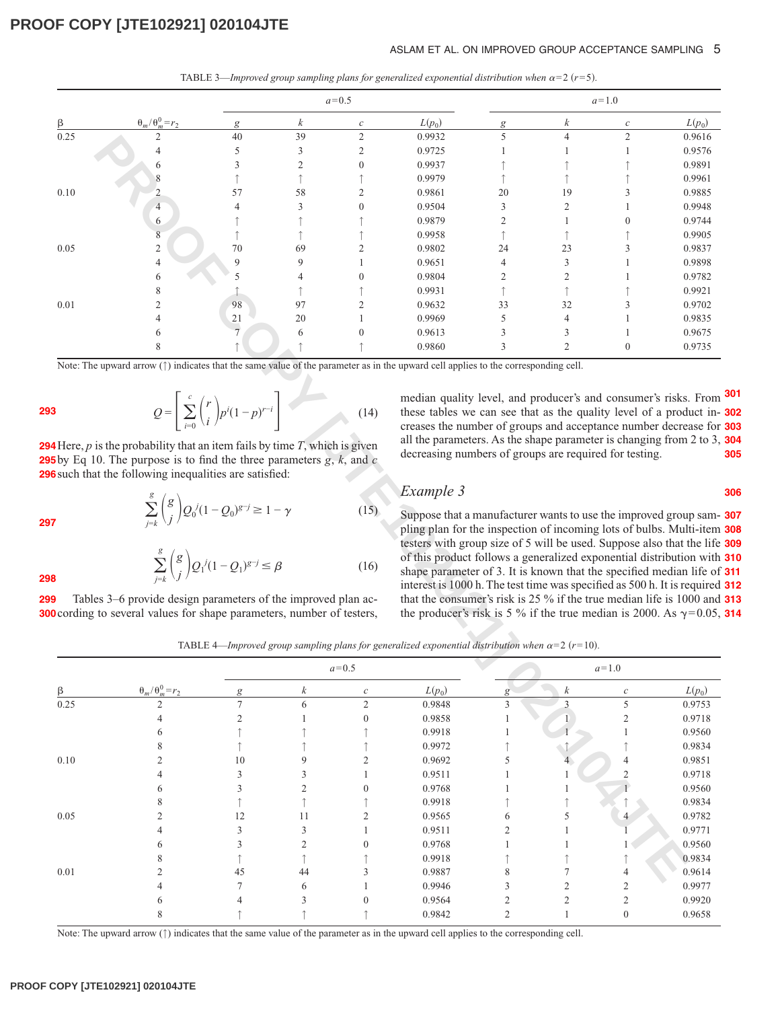#### ASLAM ET AL. ON IMPROVED GROUP ACCEPTANCE SAMPLING 5

|  |  |  | TABLE 3—Improved group sampling plans for generalized exponential distribution when $\alpha=2$ (r=5). |  |  |
|--|--|--|-------------------------------------------------------------------------------------------------------|--|--|
|--|--|--|-------------------------------------------------------------------------------------------------------|--|--|

|      |                           |                |                | $a = 0.5$        |          | $a=1.0$        |                  |                  |          |
|------|---------------------------|----------------|----------------|------------------|----------|----------------|------------------|------------------|----------|
| β    | $\theta_m/\theta_m^0=r_2$ | g              | k              | $\boldsymbol{c}$ | $L(p_0)$ | g              | $\boldsymbol{k}$ | $\boldsymbol{c}$ | $L(p_0)$ |
| 0.25 |                           | 40             | 39             | $\overline{2}$   | 0.9932   | 5              | $\overline{4}$   | $\overline{2}$   | 0.9616   |
|      |                           | 5              | 3              | $\overline{2}$   | 0.9725   |                |                  |                  | 0.9576   |
|      | 6                         |                | $\overline{c}$ | $\mathbf{0}$     | 0.9937   |                |                  |                  | 0.9891   |
|      |                           |                |                |                  | 0.9979   |                |                  |                  | 0.9961   |
| 0.10 |                           | 57             | 58             | C                | 0.9861   | 20             | 19               |                  | 0.9885   |
|      | $\overline{4}$            |                | 3              | $\theta$         | 0.9504   | 3              | $\overline{c}$   |                  | 0.9948   |
|      | 6                         |                |                |                  | 0.9879   | $\overline{2}$ |                  | $\Omega$         | 0.9744   |
|      | 8                         |                |                |                  | 0.9958   |                |                  |                  | 0.9905   |
| 0.05 | 2                         | 70             | 69             | ↑                | 0.9802   | 24             | 23               |                  | 0.9837   |
|      | 4                         | $\mathbf Q$    | 9              |                  | 0.9651   | $\overline{4}$ | 3                |                  | 0.9898   |
|      | 6                         |                | 4              | $\theta$         | 0.9804   | $\overline{2}$ | $\mathcal{D}$    |                  | 0.9782   |
|      |                           |                |                |                  | 0.9931   |                |                  |                  | 0.9921   |
| 0.01 |                           | 98             | 97             | $\overline{c}$   | 0.9632   | 33             | 32               |                  | 0.9702   |
|      |                           | $\frac{21}{7}$ | 20             |                  | 0.9969   | 5              | $\overline{4}$   |                  | 0.9835   |
|      |                           |                | 6              | $\Omega$         | 0.9613   | 3              | 3                |                  | 0.9675   |
|      |                           |                |                |                  | 0.9860   | 3              | $\overline{2}$   | $\mathbf{0}$     | 0.9735   |

$$
Q = \left[\sum_{i=0}^{c} {r \choose i} p^{i} (1-p)^{r-i}\right]
$$
 (14)

**297**

**298**

$$
\sum_{j=k}^{g} {g \choose j} Q_1^{j} (1 - Q_1)^{g-j} \leq \beta
$$
\n(16)

median quality level, and producer's and consumer's risks. From **301** these tables we can see that as the quality level of a product in-**302** creases the number of groups and acceptance number decrease for **303** all the parameters. As the shape parameter is changing from 2 to 3, **304** decreasing numbers of groups are required for testing. **305**

**306**

#### *Example 3*

Suppose that a manufacturer wants to use the improved group sam-**307** pling plan for the inspection of incoming lots of bulbs. Multi-item **308** testers with group size of 5 will be used. Suppose also that the life **309** of this product follows a generalized exponential distribution with **310** shape parameter of 3. It is known that the specified median life of **311** interest is 1000 h. The test time was specified as 500 h. It is required **312** that the consumer's risk is 25 % if the true median life is 1000 and **313** the producer's risk is 5 % if the true median is 2000. As  $\gamma$ =0.05, 314

TABLE 4—*Improved group sampling plans for generalized exponential distribution when*  $\alpha = 2$  ( $r = 10$ ).

| 0.25     | 2                                                                                                                                                                                                                                                                                                                                                                  | 40                                                                                                                                 | 39                      | 2                | 0.9932                                                                                                                                                                                                                                                                                                                                                                                                                                                                                                                                                                                                                                                                                                                                        | 5            |                  | 2                       | 0.9616   |
|----------|--------------------------------------------------------------------------------------------------------------------------------------------------------------------------------------------------------------------------------------------------------------------------------------------------------------------------------------------------------------------|------------------------------------------------------------------------------------------------------------------------------------|-------------------------|------------------|-----------------------------------------------------------------------------------------------------------------------------------------------------------------------------------------------------------------------------------------------------------------------------------------------------------------------------------------------------------------------------------------------------------------------------------------------------------------------------------------------------------------------------------------------------------------------------------------------------------------------------------------------------------------------------------------------------------------------------------------------|--------------|------------------|-------------------------|----------|
|          |                                                                                                                                                                                                                                                                                                                                                                    | 5                                                                                                                                  | 3                       | 2                | 0.9725                                                                                                                                                                                                                                                                                                                                                                                                                                                                                                                                                                                                                                                                                                                                        |              |                  |                         | 0.9576   |
|          |                                                                                                                                                                                                                                                                                                                                                                    |                                                                                                                                    | $\mathfrak{2}$          |                  | 0.9937                                                                                                                                                                                                                                                                                                                                                                                                                                                                                                                                                                                                                                                                                                                                        |              |                  |                         | 0.9891   |
|          |                                                                                                                                                                                                                                                                                                                                                                    |                                                                                                                                    |                         |                  | 0.9979                                                                                                                                                                                                                                                                                                                                                                                                                                                                                                                                                                                                                                                                                                                                        |              |                  |                         | 0.9961   |
| 0.10     | 2                                                                                                                                                                                                                                                                                                                                                                  | 57                                                                                                                                 | 58                      | 2                | 0.9861                                                                                                                                                                                                                                                                                                                                                                                                                                                                                                                                                                                                                                                                                                                                        | 20           | 19               |                         | 0.9885   |
|          | $\overline{4}$                                                                                                                                                                                                                                                                                                                                                     |                                                                                                                                    | 3                       |                  | 0.9504                                                                                                                                                                                                                                                                                                                                                                                                                                                                                                                                                                                                                                                                                                                                        | 3            | 2                |                         | 0.9948   |
|          | 6                                                                                                                                                                                                                                                                                                                                                                  |                                                                                                                                    |                         |                  | 0.9879                                                                                                                                                                                                                                                                                                                                                                                                                                                                                                                                                                                                                                                                                                                                        | 2            |                  |                         | 0.9744   |
|          | 8                                                                                                                                                                                                                                                                                                                                                                  |                                                                                                                                    |                         |                  | 0.9958                                                                                                                                                                                                                                                                                                                                                                                                                                                                                                                                                                                                                                                                                                                                        |              |                  |                         | 0.9905   |
| 0.05     | $\mathfrak{2}$                                                                                                                                                                                                                                                                                                                                                     | 70                                                                                                                                 | 69                      |                  | 0.9802                                                                                                                                                                                                                                                                                                                                                                                                                                                                                                                                                                                                                                                                                                                                        | 24           | 23               |                         | 0.9837   |
|          | 4                                                                                                                                                                                                                                                                                                                                                                  | 9                                                                                                                                  | 9                       |                  | 0.9651                                                                                                                                                                                                                                                                                                                                                                                                                                                                                                                                                                                                                                                                                                                                        | 4            | 3                |                         | 0.9898   |
|          | 6                                                                                                                                                                                                                                                                                                                                                                  |                                                                                                                                    |                         |                  | 0.9804                                                                                                                                                                                                                                                                                                                                                                                                                                                                                                                                                                                                                                                                                                                                        | 2            | $\overline{2}$   |                         | 0.9782   |
|          | 8                                                                                                                                                                                                                                                                                                                                                                  |                                                                                                                                    |                         |                  | 0.9931                                                                                                                                                                                                                                                                                                                                                                                                                                                                                                                                                                                                                                                                                                                                        |              |                  |                         | 0.9921   |
| 0.01     | 2                                                                                                                                                                                                                                                                                                                                                                  | 98                                                                                                                                 | 97                      |                  | 0.9632                                                                                                                                                                                                                                                                                                                                                                                                                                                                                                                                                                                                                                                                                                                                        | 33           | 32               |                         | 0.9702   |
|          |                                                                                                                                                                                                                                                                                                                                                                    | 21                                                                                                                                 | 20                      |                  | 0.9969                                                                                                                                                                                                                                                                                                                                                                                                                                                                                                                                                                                                                                                                                                                                        | 5            | 4                |                         | 0.9835   |
|          |                                                                                                                                                                                                                                                                                                                                                                    |                                                                                                                                    | 6                       |                  | 0.9613                                                                                                                                                                                                                                                                                                                                                                                                                                                                                                                                                                                                                                                                                                                                        |              | 3                |                         | 0.9675   |
|          |                                                                                                                                                                                                                                                                                                                                                                    |                                                                                                                                    |                         |                  | 0.9860                                                                                                                                                                                                                                                                                                                                                                                                                                                                                                                                                                                                                                                                                                                                        | 3            | $\overline{2}$   | $\mathbf{0}$            | 0.9735   |
|          | $H = P$ is the probability that an item fails by time $T$ , which is given<br><b>Solution</b> by Eq 10. The purpose is to find the three parameters $g, k$ , and $c$<br>such that the following inequalities are satisfied:<br>Tables 3–6 provide design parameters of the improved plan ac-<br>cording to several values for shape parameters, number of testers, | $\sum_{j=k}^g \binom{g}{j} Q_0^j (1-Q_0)^{g-j} \geq 1-\gamma$<br>$\sum_{i=k}^{g} {g \choose i} Q_1^{j} (1 - Q_1)^{g-j} \leq \beta$ |                         | (15)<br>(16)     | all the parameters. As the shape parameter is changing from 2 to 3.<br>decreasing numbers of groups are required for testing.<br>Example 3<br>Suppose that a manufacturer wants to use the improved group sam-<br>pling plan for the inspection of incoming lots of bulbs. Multi-item<br>testers with group size of 5 will be used. Suppose also that the life<br>of this product follows a generalized exponential distribution with<br>shape parameter of 3. It is known that the specified median life of<br>interest is 1000 h. The test time was specified as 500 h. It is required<br>that the consumer's risk is 25 % if the true median life is 1000 and<br>the producer's risk is 5 % if the true median is 2000. As $\gamma$ =0.05, |              |                  |                         |          |
|          |                                                                                                                                                                                                                                                                                                                                                                    |                                                                                                                                    |                         |                  | TABLE 4—Improved group sampling plans for generalized exponential distribution when $\alpha = 2$ (r=10).                                                                                                                                                                                                                                                                                                                                                                                                                                                                                                                                                                                                                                      |              |                  |                         |          |
|          |                                                                                                                                                                                                                                                                                                                                                                    |                                                                                                                                    |                         | $a=0.5$          |                                                                                                                                                                                                                                                                                                                                                                                                                                                                                                                                                                                                                                                                                                                                               |              |                  | $a=1.0$                 |          |
|          | $\theta_m/\theta_m^0=r_2$                                                                                                                                                                                                                                                                                                                                          |                                                                                                                                    | k                       |                  | $L(p_0)$                                                                                                                                                                                                                                                                                                                                                                                                                                                                                                                                                                                                                                                                                                                                      | g            | $\boldsymbol{k}$ | $\boldsymbol{c}$        | $L(p_0)$ |
| 0.25     |                                                                                                                                                                                                                                                                                                                                                                    | $\overline{7}$                                                                                                                     | 6                       | $\overline{c}$   | 0.9848                                                                                                                                                                                                                                                                                                                                                                                                                                                                                                                                                                                                                                                                                                                                        | 3            | $\mathfrak{Z}$   | 5                       | 0.9753   |
|          |                                                                                                                                                                                                                                                                                                                                                                    | $\mathfrak{2}$                                                                                                                     |                         | $\boldsymbol{0}$ | 0.9858                                                                                                                                                                                                                                                                                                                                                                                                                                                                                                                                                                                                                                                                                                                                        |              |                  | $\overline{\mathbf{c}}$ | 0.9718   |
|          | 6                                                                                                                                                                                                                                                                                                                                                                  |                                                                                                                                    |                         |                  | 0.9918                                                                                                                                                                                                                                                                                                                                                                                                                                                                                                                                                                                                                                                                                                                                        |              |                  |                         | 0.9560   |
|          | 8                                                                                                                                                                                                                                                                                                                                                                  |                                                                                                                                    |                         |                  | 0.9972                                                                                                                                                                                                                                                                                                                                                                                                                                                                                                                                                                                                                                                                                                                                        |              |                  |                         | 0.9834   |
| $0.10\,$ | 2                                                                                                                                                                                                                                                                                                                                                                  | 10                                                                                                                                 | 9                       | $\mathfrak{2}$   | 0.9692                                                                                                                                                                                                                                                                                                                                                                                                                                                                                                                                                                                                                                                                                                                                        | 5            |                  |                         | 0.9851   |
|          | 4                                                                                                                                                                                                                                                                                                                                                                  | 3                                                                                                                                  | 3                       | 1                | 0.9511                                                                                                                                                                                                                                                                                                                                                                                                                                                                                                                                                                                                                                                                                                                                        |              |                  | $\overline{2}$          | 0.9718   |
|          | 6                                                                                                                                                                                                                                                                                                                                                                  | 3                                                                                                                                  | $\overline{\mathbf{c}}$ | $\boldsymbol{0}$ | 0.9768                                                                                                                                                                                                                                                                                                                                                                                                                                                                                                                                                                                                                                                                                                                                        |              | 1                |                         | 0.9560   |
|          | 8                                                                                                                                                                                                                                                                                                                                                                  |                                                                                                                                    | ↑                       |                  | 0.9918                                                                                                                                                                                                                                                                                                                                                                                                                                                                                                                                                                                                                                                                                                                                        |              | ↑                |                         | 0.9834   |
| 0.05     | 2                                                                                                                                                                                                                                                                                                                                                                  | 12                                                                                                                                 | 11                      | 2                | 0.9565                                                                                                                                                                                                                                                                                                                                                                                                                                                                                                                                                                                                                                                                                                                                        | 6            | 5                |                         | 0.9782   |
|          | 4                                                                                                                                                                                                                                                                                                                                                                  | 3                                                                                                                                  | 3                       | 1                | 0.9511                                                                                                                                                                                                                                                                                                                                                                                                                                                                                                                                                                                                                                                                                                                                        | 2            | 1                |                         | 0.9771   |
|          | 6                                                                                                                                                                                                                                                                                                                                                                  | 3                                                                                                                                  | $\overline{\mathbf{c}}$ | $\boldsymbol{0}$ | 0.9768                                                                                                                                                                                                                                                                                                                                                                                                                                                                                                                                                                                                                                                                                                                                        |              | 1                |                         | 0.9560   |
|          | 8                                                                                                                                                                                                                                                                                                                                                                  |                                                                                                                                    |                         |                  | 0.9918                                                                                                                                                                                                                                                                                                                                                                                                                                                                                                                                                                                                                                                                                                                                        |              |                  |                         | 0.9834   |
| $0.01\,$ | 2                                                                                                                                                                                                                                                                                                                                                                  | 45                                                                                                                                 | ↑<br>44                 | 3                | 0.9887                                                                                                                                                                                                                                                                                                                                                                                                                                                                                                                                                                                                                                                                                                                                        | 8            | 7                | 4                       | 0.9614   |
|          |                                                                                                                                                                                                                                                                                                                                                                    |                                                                                                                                    |                         |                  | 0.9946                                                                                                                                                                                                                                                                                                                                                                                                                                                                                                                                                                                                                                                                                                                                        |              |                  |                         | 0.9977   |
|          | 4                                                                                                                                                                                                                                                                                                                                                                  | 7                                                                                                                                  | 6                       |                  |                                                                                                                                                                                                                                                                                                                                                                                                                                                                                                                                                                                                                                                                                                                                               | 3            | 2                | $\overline{c}$          |          |
|          | 6                                                                                                                                                                                                                                                                                                                                                                  | 4                                                                                                                                  | 3                       | $\boldsymbol{0}$ | 0.9564                                                                                                                                                                                                                                                                                                                                                                                                                                                                                                                                                                                                                                                                                                                                        | 2            | $\overline{c}$   | $\overline{c}$          | 0.9920   |
|          | 8                                                                                                                                                                                                                                                                                                                                                                  |                                                                                                                                    |                         |                  | 0.9842                                                                                                                                                                                                                                                                                                                                                                                                                                                                                                                                                                                                                                                                                                                                        | $\mathbf{2}$ | $\mathbf{1}$     | $\boldsymbol{0}$        | 0.9658   |

Note: The upward arrow (↑) indicates that the same value of the parameter as in the upward cell applies to the corresponding cell.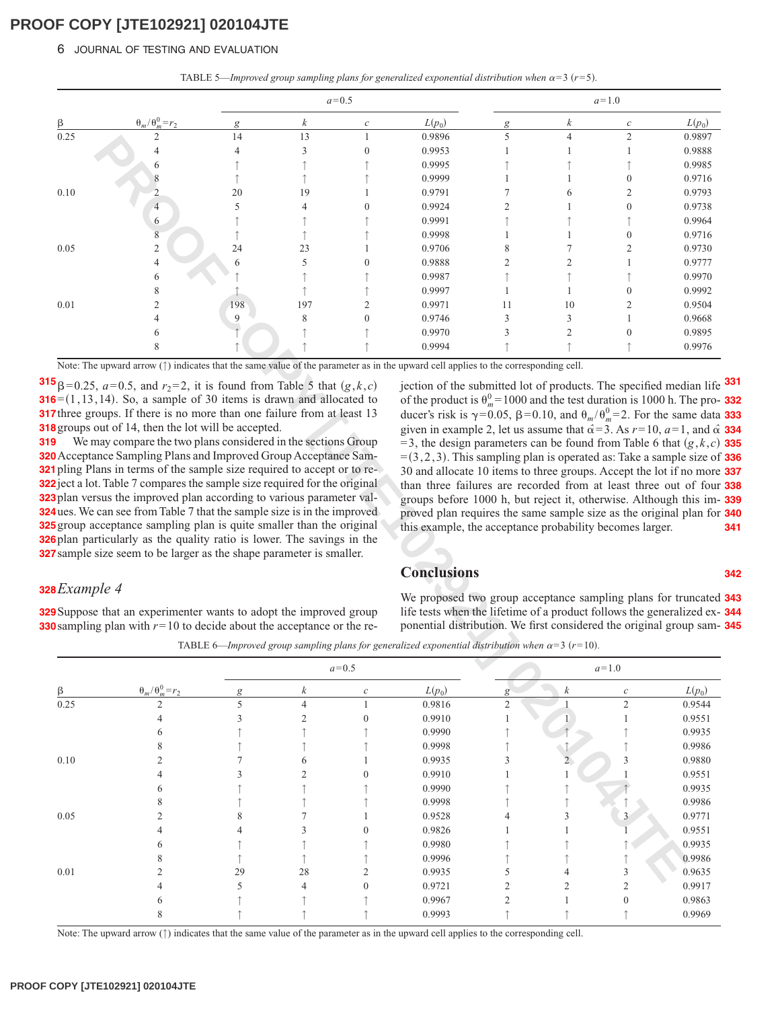#### 6 JOURNAL OF TESTING AND EVALUATION

|  |  |  | TABLE 5—Improved group sampling plans for generalized exponential distribution when $\alpha$ =3 (r=5). |
|--|--|--|--------------------------------------------------------------------------------------------------------|
|--|--|--|--------------------------------------------------------------------------------------------------------|

|      |                           |     |                  | $a = 0.5$        |          |                |                | $a=1.0$          |          |
|------|---------------------------|-----|------------------|------------------|----------|----------------|----------------|------------------|----------|
| ß    | $\theta_m/\theta_m^0=r_2$ | g   | $\boldsymbol{k}$ | $\boldsymbol{c}$ | $L(p_0)$ | g              | k              | $\boldsymbol{c}$ | $L(p_0)$ |
| 0.25 | 2                         | 14  | 13               |                  | 0.9896   | 5              | $\overline{4}$ | $\overline{2}$   | 0.9897   |
|      |                           | 4   | $\mathcal{R}$    | $\Omega$         | 0.9953   |                |                |                  | 0.9888   |
|      | 6                         |     |                  |                  | 0.9995   |                |                |                  | 0.9985   |
|      |                           |     |                  |                  | 0.9999   |                |                | $\theta$         | 0.9716   |
| 0.10 |                           | 20  | 19               |                  | 0.9791   |                | 6              | $\overline{2}$   | 0.9793   |
|      | 4                         |     | 4                | $\theta$         | 0.9924   | $\mathfrak{D}$ |                | $\Omega$         | 0.9738   |
|      | 6                         |     |                  |                  | 0.9991   |                |                |                  | 0.9964   |
|      | 8                         |     |                  |                  | 0.9998   |                |                | $\Omega$         | 0.9716   |
| 0.05 | 2                         | 24  | 23               |                  | 0.9706   | 8              |                | $\mathfrak{D}$   | 0.9730   |
|      | $\overline{4}$            | h   | 5                | $\Omega$         | 0.9888   | 2              | 2              |                  | 0.9777   |
|      | 6                         |     |                  |                  | 0.9987   |                |                |                  | 0.9970   |
|      | 8                         |     |                  |                  | 0.9997   |                |                | $\mathbf{0}$     | 0.9992   |
| 0.01 |                           | 198 | 197              |                  | 0.9971   | 11             | 10             | $\overline{c}$   | 0.9504   |
|      |                           | 9   | 8                | $\Omega$         | 0.9746   | 3              | 3              |                  | 0.9668   |
|      | 6                         |     |                  |                  | 0.9970   | 3              | 2              | $\mathbf{0}$     | 0.9895   |
|      | 8                         |     |                  |                  | 0.9994   |                |                |                  | 0.9976   |

### *Example 4* **328**

jection of the submitted lot of products. The specified median life **331** of the product is  $\theta_m^0 = 1000$  and the test duration is 1000 h. The pro- **332** ducer's risk is  $\gamma = 0.05$ ,  $\beta = 0.10$ , and  $\theta_m / \theta_m^0 = 2$ . For the same data given in example 2, let us assume that  $\hat{\alpha} = 3$ . As  $r = 10$ ,  $a = 1$ , and  $\hat{\alpha}$  $=$  3, the design parameters can be found from Table 6 that  $(g, k, c)$  335 =3,2,3-. This sampling plan is operated as: Take a sample size of **336** 30 and allocate 10 items to three groups. Accept the lot if no more **337** than three failures are recorded from at least three out of four **338** groups before 1000 h, but reject it, otherwise. Although this im-**339** proved plan requires the same sample size as the original plan for **340** this example, the acceptance probability becomes larger. **333 334 341**

#### **Conclusions**

**342**

We proposed two group acceptance sampling plans for truncated **343** life tests when the lifetime of a product follows the generalized ex-**344** ponential distribution. We first considered the original group sam-**345**

TABLE 6—*Improved group sampling plans for generalized exponential distribution when*  $\alpha = 3$  ( $r = 10$ ).

|            |                                                                                                                                                                                                                                                                                                                                                                                                                                                                                                                                                                                                                                                                                                                                                                                                                                         |     | 13             |                  | 0.9896                                                                                                                                                                                                                                                                                                                                                                                                                                                                                                                                                                                                                                                                                                                                                                                                                                                                           | 5              |                  | 2                | 0.9897   |
|------------|-----------------------------------------------------------------------------------------------------------------------------------------------------------------------------------------------------------------------------------------------------------------------------------------------------------------------------------------------------------------------------------------------------------------------------------------------------------------------------------------------------------------------------------------------------------------------------------------------------------------------------------------------------------------------------------------------------------------------------------------------------------------------------------------------------------------------------------------|-----|----------------|------------------|----------------------------------------------------------------------------------------------------------------------------------------------------------------------------------------------------------------------------------------------------------------------------------------------------------------------------------------------------------------------------------------------------------------------------------------------------------------------------------------------------------------------------------------------------------------------------------------------------------------------------------------------------------------------------------------------------------------------------------------------------------------------------------------------------------------------------------------------------------------------------------|----------------|------------------|------------------|----------|
|            |                                                                                                                                                                                                                                                                                                                                                                                                                                                                                                                                                                                                                                                                                                                                                                                                                                         |     | 3              |                  | 0.9953                                                                                                                                                                                                                                                                                                                                                                                                                                                                                                                                                                                                                                                                                                                                                                                                                                                                           |                |                  |                  | 0.9888   |
|            |                                                                                                                                                                                                                                                                                                                                                                                                                                                                                                                                                                                                                                                                                                                                                                                                                                         |     |                |                  | 0.9995                                                                                                                                                                                                                                                                                                                                                                                                                                                                                                                                                                                                                                                                                                                                                                                                                                                                           |                |                  |                  | 0.9985   |
|            |                                                                                                                                                                                                                                                                                                                                                                                                                                                                                                                                                                                                                                                                                                                                                                                                                                         |     |                |                  | 0.9999                                                                                                                                                                                                                                                                                                                                                                                                                                                                                                                                                                                                                                                                                                                                                                                                                                                                           |                |                  | $\theta$         | 0.9716   |
| 0.10       | $\overline{c}$                                                                                                                                                                                                                                                                                                                                                                                                                                                                                                                                                                                                                                                                                                                                                                                                                          | 20  | 19             |                  | 0.9791                                                                                                                                                                                                                                                                                                                                                                                                                                                                                                                                                                                                                                                                                                                                                                                                                                                                           |                |                  | 2                | 0.9793   |
|            | 4                                                                                                                                                                                                                                                                                                                                                                                                                                                                                                                                                                                                                                                                                                                                                                                                                                       | 5   | 4              | $\theta$         | 0.9924                                                                                                                                                                                                                                                                                                                                                                                                                                                                                                                                                                                                                                                                                                                                                                                                                                                                           | 2              |                  | $\theta$         | 0.9738   |
|            | 6                                                                                                                                                                                                                                                                                                                                                                                                                                                                                                                                                                                                                                                                                                                                                                                                                                       |     |                |                  | 0.9991                                                                                                                                                                                                                                                                                                                                                                                                                                                                                                                                                                                                                                                                                                                                                                                                                                                                           |                |                  |                  | 0.9964   |
|            | 8                                                                                                                                                                                                                                                                                                                                                                                                                                                                                                                                                                                                                                                                                                                                                                                                                                       |     |                |                  | 0.9998                                                                                                                                                                                                                                                                                                                                                                                                                                                                                                                                                                                                                                                                                                                                                                                                                                                                           |                |                  | $\theta$         | 0.9716   |
| 0.05       | $\overline{c}$                                                                                                                                                                                                                                                                                                                                                                                                                                                                                                                                                                                                                                                                                                                                                                                                                          | 24  | 23             |                  | 0.9706                                                                                                                                                                                                                                                                                                                                                                                                                                                                                                                                                                                                                                                                                                                                                                                                                                                                           | 8              |                  | 2                | 0.9730   |
|            | 4                                                                                                                                                                                                                                                                                                                                                                                                                                                                                                                                                                                                                                                                                                                                                                                                                                       |     | 5              | $\theta$         | 0.9888                                                                                                                                                                                                                                                                                                                                                                                                                                                                                                                                                                                                                                                                                                                                                                                                                                                                           | 2              | 2                |                  | 0.9777   |
|            | 6                                                                                                                                                                                                                                                                                                                                                                                                                                                                                                                                                                                                                                                                                                                                                                                                                                       |     |                |                  | 0.9987                                                                                                                                                                                                                                                                                                                                                                                                                                                                                                                                                                                                                                                                                                                                                                                                                                                                           |                |                  |                  | 0.9970   |
|            | 8                                                                                                                                                                                                                                                                                                                                                                                                                                                                                                                                                                                                                                                                                                                                                                                                                                       |     |                |                  | 0.9997                                                                                                                                                                                                                                                                                                                                                                                                                                                                                                                                                                                                                                                                                                                                                                                                                                                                           |                |                  |                  | 0.9992   |
| 0.01       | 2                                                                                                                                                                                                                                                                                                                                                                                                                                                                                                                                                                                                                                                                                                                                                                                                                                       | 198 | 197            | 2                | 0.9971                                                                                                                                                                                                                                                                                                                                                                                                                                                                                                                                                                                                                                                                                                                                                                                                                                                                           | 11             | 10               | 2                | 0.9504   |
|            |                                                                                                                                                                                                                                                                                                                                                                                                                                                                                                                                                                                                                                                                                                                                                                                                                                         | 9   | 8              | $\overline{0}$   | 0.9746                                                                                                                                                                                                                                                                                                                                                                                                                                                                                                                                                                                                                                                                                                                                                                                                                                                                           | 3              | 3                |                  | 0.9668   |
|            |                                                                                                                                                                                                                                                                                                                                                                                                                                                                                                                                                                                                                                                                                                                                                                                                                                         |     |                |                  | 0.9970                                                                                                                                                                                                                                                                                                                                                                                                                                                                                                                                                                                                                                                                                                                                                                                                                                                                           | 3              | 2                |                  | 0.9895   |
|            |                                                                                                                                                                                                                                                                                                                                                                                                                                                                                                                                                                                                                                                                                                                                                                                                                                         |     |                |                  | 0.9994                                                                                                                                                                                                                                                                                                                                                                                                                                                                                                                                                                                                                                                                                                                                                                                                                                                                           |                |                  |                  | 0.9976   |
|            | $\mathbf{5}_{\beta=0.25, a=0.5, and r_2=2, it is found from Table 5 that (g, k, c)$<br>$6=(1, 13, 14)$ . So, a sample of 30 items is drawn and allocated to<br>7 three groups. If there is no more than one failure from at least 13<br><b>8</b> groups out of 14, then the lot will be accepted.<br>We may compare the two plans considered in the sections Group<br><b>O</b> Acceptance Sampling Plans and Improved Group Acceptance Sam-<br>1 pling Plans in terms of the sample size required to accept or to re-<br>2 ject a lot. Table 7 compares the sample size required for the original<br>3 plan versus the improved plan according to various parameter val-<br><b>4</b> ues. We can see from Table 7 that the sample size is in the improved<br><b>5</b> group acceptance sampling plan is quite smaller than the original |     |                |                  | jection of the submitted lot of products. The specified median life<br>of the product is $\theta_m^0 = 1000$ and the test duration is 1000 h. The pro-<br>ducer's risk is $\gamma = 0.05$ , $\beta = 0.10$ , and $\theta_m / \theta_m^0 = 2$ . For the same data<br>given in example 2, let us assume that $\hat{\alpha} = 3$ . As $r = 10$ , $a = 1$ , and $\hat{\alpha}$<br>$=$ 3, the design parameters can be found from Table 6 that $(g, k, c)$<br>$=(3,2,3)$ . This sampling plan is operated as: Take a sample size of<br>30 and allocate 10 items to three groups. Accept the lot if no more<br>than three failures are recorded from at least three out of four<br>groups before 1000 h, but reject it, otherwise. Although this im-<br>proved plan requires the same sample size as the original plan for<br>this example, the acceptance probability becomes larger. |                |                  |                  |          |
| BExample 4 | <b>Splan particularly as the quality ratio is lower. The savings in the</b><br><b>7</b> sample size seem to be larger as the shape parameter is smaller.<br><b>9</b> Suppose that an experimenter wants to adopt the improved group<br><b>O</b> sampling plan with $r = 10$ to decide about the acceptance or the re-                                                                                                                                                                                                                                                                                                                                                                                                                                                                                                                   |     |                |                  | <b>Conclusions</b><br>We proposed two group acceptance sampling plans for truncated<br>life tests when the lifetime of a product follows the generalized ex-<br>ponential distribution. We first considered the original group sam-                                                                                                                                                                                                                                                                                                                                                                                                                                                                                                                                                                                                                                              |                |                  |                  |          |
|            |                                                                                                                                                                                                                                                                                                                                                                                                                                                                                                                                                                                                                                                                                                                                                                                                                                         |     |                |                  | TABLE 6—Improved group sampling plans for generalized exponential distribution when $\alpha=3$ (r=10).                                                                                                                                                                                                                                                                                                                                                                                                                                                                                                                                                                                                                                                                                                                                                                           |                |                  |                  |          |
|            |                                                                                                                                                                                                                                                                                                                                                                                                                                                                                                                                                                                                                                                                                                                                                                                                                                         |     |                | $a=0.5$          |                                                                                                                                                                                                                                                                                                                                                                                                                                                                                                                                                                                                                                                                                                                                                                                                                                                                                  |                |                  | $a=1.0$          |          |
|            | $\theta_m/\theta_m^0=r_2$                                                                                                                                                                                                                                                                                                                                                                                                                                                                                                                                                                                                                                                                                                                                                                                                               |     | k              | $\mathcal C$     | $L(p_0)$                                                                                                                                                                                                                                                                                                                                                                                                                                                                                                                                                                                                                                                                                                                                                                                                                                                                         | g              | $\boldsymbol{k}$ | $\mathcal C$     | $L(p_0)$ |
| 0.25       |                                                                                                                                                                                                                                                                                                                                                                                                                                                                                                                                                                                                                                                                                                                                                                                                                                         | 5   | $\overline{4}$ |                  | 0.9816                                                                                                                                                                                                                                                                                                                                                                                                                                                                                                                                                                                                                                                                                                                                                                                                                                                                           | $\overline{2}$ |                  | $\overline{c}$   | 0.9544   |
|            | 4                                                                                                                                                                                                                                                                                                                                                                                                                                                                                                                                                                                                                                                                                                                                                                                                                                       | 3   | $\overline{c}$ | $\boldsymbol{0}$ | 0.9910                                                                                                                                                                                                                                                                                                                                                                                                                                                                                                                                                                                                                                                                                                                                                                                                                                                                           | 1              |                  |                  | 0.9551   |
|            | 6                                                                                                                                                                                                                                                                                                                                                                                                                                                                                                                                                                                                                                                                                                                                                                                                                                       |     |                |                  | 0.9990                                                                                                                                                                                                                                                                                                                                                                                                                                                                                                                                                                                                                                                                                                                                                                                                                                                                           |                |                  |                  | 0.9935   |
|            | 8                                                                                                                                                                                                                                                                                                                                                                                                                                                                                                                                                                                                                                                                                                                                                                                                                                       |     |                |                  | 0.9998                                                                                                                                                                                                                                                                                                                                                                                                                                                                                                                                                                                                                                                                                                                                                                                                                                                                           |                |                  |                  | 0.9986   |
| 0.10       | 2                                                                                                                                                                                                                                                                                                                                                                                                                                                                                                                                                                                                                                                                                                                                                                                                                                       |     | 6              |                  | 0.9935                                                                                                                                                                                                                                                                                                                                                                                                                                                                                                                                                                                                                                                                                                                                                                                                                                                                           | 3              |                  | 3                | 0.9880   |
|            | 4                                                                                                                                                                                                                                                                                                                                                                                                                                                                                                                                                                                                                                                                                                                                                                                                                                       |     | $\sqrt{2}$     | $\overline{0}$   | 0.9910                                                                                                                                                                                                                                                                                                                                                                                                                                                                                                                                                                                                                                                                                                                                                                                                                                                                           |                |                  |                  | 0.9551   |
|            | 6                                                                                                                                                                                                                                                                                                                                                                                                                                                                                                                                                                                                                                                                                                                                                                                                                                       |     |                |                  | 0.9990                                                                                                                                                                                                                                                                                                                                                                                                                                                                                                                                                                                                                                                                                                                                                                                                                                                                           |                |                  |                  | 0.9935   |
|            | 8                                                                                                                                                                                                                                                                                                                                                                                                                                                                                                                                                                                                                                                                                                                                                                                                                                       |     |                |                  | 0.9998                                                                                                                                                                                                                                                                                                                                                                                                                                                                                                                                                                                                                                                                                                                                                                                                                                                                           |                |                  |                  | 0.9986   |
| 0.05       | $\overline{c}$                                                                                                                                                                                                                                                                                                                                                                                                                                                                                                                                                                                                                                                                                                                                                                                                                          | 8   | 7              |                  | 0.9528                                                                                                                                                                                                                                                                                                                                                                                                                                                                                                                                                                                                                                                                                                                                                                                                                                                                           |                | 3                | 3                | 0.9771   |
|            | $\overline{4}$                                                                                                                                                                                                                                                                                                                                                                                                                                                                                                                                                                                                                                                                                                                                                                                                                          |     | 3              | $\boldsymbol{0}$ | 0.9826                                                                                                                                                                                                                                                                                                                                                                                                                                                                                                                                                                                                                                                                                                                                                                                                                                                                           |                |                  |                  | 0.9551   |
|            | 6                                                                                                                                                                                                                                                                                                                                                                                                                                                                                                                                                                                                                                                                                                                                                                                                                                       |     |                |                  | 0.9980                                                                                                                                                                                                                                                                                                                                                                                                                                                                                                                                                                                                                                                                                                                                                                                                                                                                           |                |                  |                  | 0.9935   |
|            | 8                                                                                                                                                                                                                                                                                                                                                                                                                                                                                                                                                                                                                                                                                                                                                                                                                                       |     | $\uparrow$     |                  | 0.9996                                                                                                                                                                                                                                                                                                                                                                                                                                                                                                                                                                                                                                                                                                                                                                                                                                                                           |                |                  |                  | 0.9986   |
| $0.01\,$   | 2                                                                                                                                                                                                                                                                                                                                                                                                                                                                                                                                                                                                                                                                                                                                                                                                                                       | 29  | 28             | 2                | 0.9935                                                                                                                                                                                                                                                                                                                                                                                                                                                                                                                                                                                                                                                                                                                                                                                                                                                                           | 5              | 4                | 3                | 0.9635   |
|            | 4                                                                                                                                                                                                                                                                                                                                                                                                                                                                                                                                                                                                                                                                                                                                                                                                                                       | 5   | $\overline{4}$ | $\boldsymbol{0}$ | 0.9721                                                                                                                                                                                                                                                                                                                                                                                                                                                                                                                                                                                                                                                                                                                                                                                                                                                                           | 2              | 2                | $\sqrt{2}$       | 0.9917   |
|            | 6                                                                                                                                                                                                                                                                                                                                                                                                                                                                                                                                                                                                                                                                                                                                                                                                                                       |     |                |                  | 0.9967                                                                                                                                                                                                                                                                                                                                                                                                                                                                                                                                                                                                                                                                                                                                                                                                                                                                           | 2              |                  | $\boldsymbol{0}$ | 0.9863   |

Note: The upward arrow (†) indicates that the same value of the parameter as in the upward cell applies to the corresponding cell.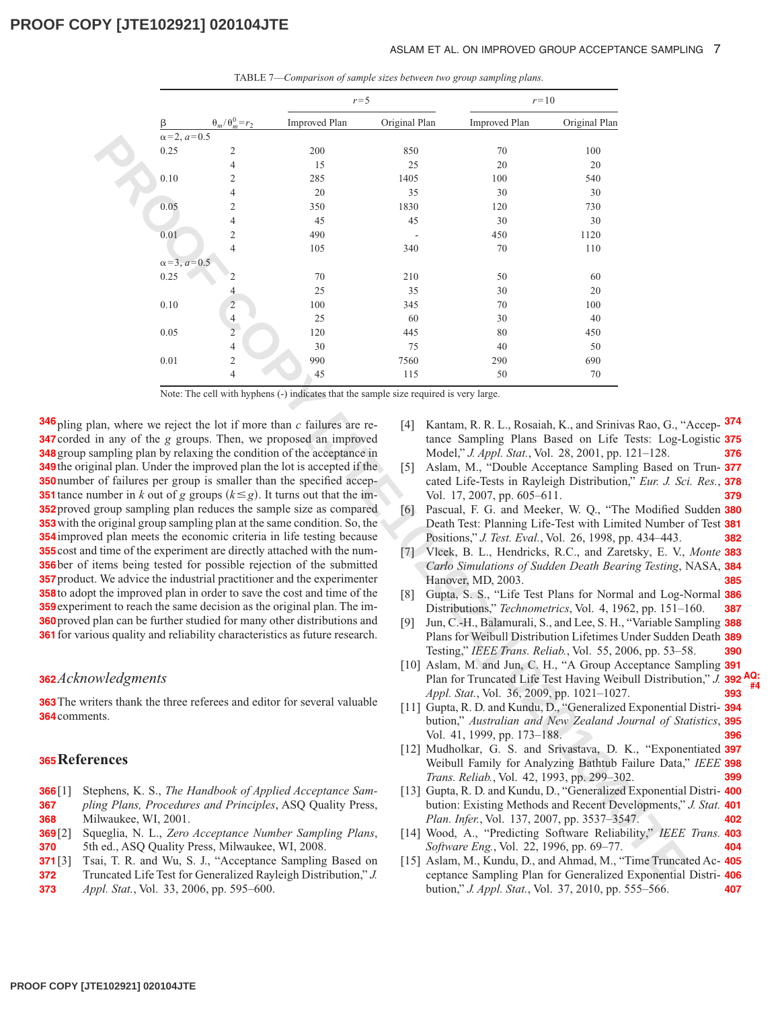#### ASLAM ET AL. ON IMPROVED GROUP ACCEPTANCE SAMPLING 7

|                     |                       |                                                | $r = 5$                                                                                                                      |                  |                                                                                                             | $r=10$        |  |
|---------------------|-----------------------|------------------------------------------------|------------------------------------------------------------------------------------------------------------------------------|------------------|-------------------------------------------------------------------------------------------------------------|---------------|--|
|                     | β                     | $\theta_m/\theta_m^0=r_2$                      | <b>Improved Plan</b>                                                                                                         | Original Plan    | <b>Improved Plan</b>                                                                                        | Original Plan |  |
|                     | $\alpha = 2, a = 0.5$ |                                                |                                                                                                                              |                  |                                                                                                             |               |  |
|                     | 0.25                  | 2<br>4                                         | 200<br>15                                                                                                                    | 850<br>25        | 70<br>20                                                                                                    | 100<br>20     |  |
|                     | 0.10                  | $\overline{c}$                                 | 285                                                                                                                          | 1405             | 100                                                                                                         | 540           |  |
|                     |                       | 4                                              | 20                                                                                                                           | 35               | 30                                                                                                          | 30            |  |
|                     | 0.05                  | $\mathbf{2}$                                   | 350                                                                                                                          | 1830             | 120                                                                                                         | 730           |  |
|                     |                       | 4                                              | 45                                                                                                                           | 45               | 30                                                                                                          | 30            |  |
|                     | 0.01                  | $\mathfrak{2}$                                 | 490                                                                                                                          |                  | 450                                                                                                         | 1120          |  |
|                     |                       | $\overline{4}$                                 | 105                                                                                                                          | 340              | 70                                                                                                          | 110           |  |
|                     | $\alpha = 3, a = 0.5$ |                                                |                                                                                                                              |                  |                                                                                                             |               |  |
|                     | 0.25                  | 2                                              | $70\,$                                                                                                                       | 210              | 50                                                                                                          | 60            |  |
|                     |                       | $\overline{4}$                                 | 25                                                                                                                           | 35               | $30\,$                                                                                                      | 20            |  |
|                     | $0.10\,$              | $\overline{c}$                                 | 100                                                                                                                          | 345              | 70                                                                                                          | 100           |  |
|                     |                       | $\overline{\mathcal{L}}$                       | 25                                                                                                                           | 60               | 30                                                                                                          | 40            |  |
|                     | 0.05                  | $\overline{2}$                                 | 120                                                                                                                          | 445              | 80                                                                                                          | 450           |  |
|                     |                       | 4                                              | 30                                                                                                                           | 75               | 40                                                                                                          | 50            |  |
|                     | 0.01                  | $\mathfrak{2}$                                 | 990                                                                                                                          | 7560             | 290                                                                                                         | 690           |  |
|                     |                       | $\overline{4}$                                 | 45                                                                                                                           | 115              | 50                                                                                                          | 70            |  |
|                     |                       |                                                | Note: The cell with hyphens (-) indicates that the sample size required is very large.                                       |                  |                                                                                                             |               |  |
|                     |                       |                                                | an, where we reject the lot if more than $c$ failures are re-<br>in any of the g groups. Then, we proposed an improved       | 4                | Kantam, R. R. L., Rosaiah, K., and Srinivas Rao, G., "A<br>tance Sampling Plans Based on Life Tests: Log-Lo |               |  |
|                     |                       |                                                | ampling plan by relaxing the condition of the acceptance in<br>inal plan. Under the improved plan the lot is accepted if the | $\left[5\right]$ | Model," J. Appl. Stat., Vol. 28, 2001, pp. 121-128.<br>Aslam, M., "Double Acceptance Sampling Based on      |               |  |
|                     |                       |                                                | of failures per group is smaller than the specified accep-                                                                   |                  | cated Life-Tests in Rayleigh Distribution," Eur. J. Sci.                                                    |               |  |
|                     |                       |                                                | umber in k out of g groups $(k \le g)$ . It turns out that the im-                                                           |                  | Vol. 17, 2007, pp. 605–611.                                                                                 |               |  |
|                     |                       |                                                | group sampling plan reduces the sample size as compared                                                                      | 6                | Pascual, F. G. and Meeker, W. Q., "The Modified S                                                           |               |  |
|                     |                       |                                                | original group sampling plan at the same condition. So, the                                                                  |                  | Death Test: Planning Life-Test with Limited Number of                                                       |               |  |
|                     |                       |                                                | ed plan meets the economic criteria in life testing because                                                                  |                  | Positions," J. Test. Eval., Vol. 26, 1998, pp. 434-443.                                                     |               |  |
|                     |                       |                                                | I time of the experiment are directly attached with the num-                                                                 |                  | [7] Vlcek, B. L., Hendricks, R.C., and Zaretsky, E. V., .                                                   |               |  |
|                     |                       |                                                | tems being tested for possible rejection of the submitted                                                                    |                  | Carlo Simulations of Sudden Death Bearing Testing, N                                                        |               |  |
|                     |                       |                                                | . We advice the industrial practitioner and the experimenter                                                                 |                  | Hanover, MD, 2003.                                                                                          |               |  |
|                     |                       |                                                | the improved plan in order to save the cost and time of the                                                                  | [8]              | Gupta, S. S., "Life Test Plans for Normal and Log-N                                                         |               |  |
|                     |                       |                                                | ent to reach the same decision as the original plan. The im-                                                                 |                  | Distributions," Technometrics, Vol. 4, 1962, pp. 151-1                                                      |               |  |
|                     |                       |                                                | plan can be further studied for many other distributions and                                                                 | [9]              | Jun, C.-H., Balamurali, S., and Lee, S. H., "Variable San                                                   |               |  |
|                     |                       |                                                | bus quality and reliability characteristics as future research.                                                              |                  | Plans for Weibull Distribution Lifetimes Under Sudden                                                       |               |  |
|                     |                       |                                                |                                                                                                                              |                  | Testing," IEEE Trans. Reliab., Vol. 55, 2006, pp. 53-58                                                     |               |  |
|                     |                       |                                                |                                                                                                                              |                  | [10] Aslam, M. and Jun, C. H., "A Group Acceptance San                                                      |               |  |
| wledgments          |                       |                                                |                                                                                                                              |                  | Plan for Truncated Life Test Having Weibull Distributi                                                      |               |  |
|                     |                       |                                                | ters thank the three referees and editor for several valuable                                                                |                  | Appl. Stat., Vol. 36, 2009, pp. 1021-1027.                                                                  |               |  |
| nts.                |                       |                                                |                                                                                                                              |                  | [11] Gupta, R. D. and Kundu, D., "Generalized Exponential 1                                                 |               |  |
|                     |                       |                                                |                                                                                                                              |                  | bution," Australian and New Zealand Journal of Stai                                                         |               |  |
|                     |                       |                                                |                                                                                                                              |                  | Vol. 41, 1999, pp. 173-188.                                                                                 |               |  |
| ences               |                       |                                                |                                                                                                                              |                  | [12] Mudholkar, G. S. and Srivastava, D. K., "Exponer                                                       |               |  |
|                     |                       |                                                |                                                                                                                              |                  | Weibull Family for Analyzing Bathtub Failure Data,"                                                         |               |  |
|                     |                       |                                                |                                                                                                                              |                  | Trans. Reliab., Vol. 42, 1993, pp. 299-302.                                                                 |               |  |
|                     |                       |                                                | ephens, K. S., The Handbook of Applied Acceptance Sam-                                                                       |                  | [13] Gupta, R. D. and Kundu, D., "Generalized Exponential ]                                                 |               |  |
|                     |                       |                                                | ing Plans, Procedures and Principles, ASQ Quality Press,                                                                     |                  | bution: Existing Methods and Recent Developments,".<br>Plan. Infer., Vol. 137, 2007, pp. 3537-3547.         |               |  |
| ilwaukee, WI, 2001. |                       |                                                | ueglia, N. L., Zero Acceptance Number Sampling Plans,                                                                        |                  | [14] Wood, A., "Predicting Software Reliability," IEEE                                                      |               |  |
|                     |                       | n ed., ASQ Quality Press, Milwaukee, WI, 2008. |                                                                                                                              |                  | Software Eng., Vol. 22, 1996, pp. 69-77.                                                                    |               |  |
|                     |                       |                                                | ai, T. R. and Wu, S. J., "Acceptance Sampling Based on                                                                       |                  | [15] Aslam, M., Kundu, D., and Ahmad, M., "Time Truncate                                                    |               |  |
|                     |                       |                                                | uncated Life Test for Generalized Rayleigh Distribution," J.                                                                 |                  | ceptance Sampling Plan for Generalized Exponential 1                                                        |               |  |

TABLE 7—*Comparison of sample sizes between two group sampling plans.*

 pling plan, where we reject the lot if more than *c* failures are re- corded in any of the *g* groups. Then, we proposed an improved group sampling plan by relaxing the condition of the acceptance in the original plan. Under the improved plan the lot is accepted if the number of failures per group is smaller than the specified accep- tance number in *k* out of *g* groups  $(k \le g)$ . It turns out that the im- proved group sampling plan reduces the sample size as compared with the original group sampling plan at the same condition. So, the improved plan meets the economic criteria in life testing because cost and time of the experiment are directly attached with the num- ber of items being tested for possible rejection of the submitted product. We advice the industrial practitioner and the experimenter to adopt the improved plan in order to save the cost and time of the experiment to reach the same decision as the original plan. The im- proved plan can be further studied for many other distributions and for various quality and reliability characteristics as future research.

### *Acknowledgments* **362**

**363** The writers thank the three referees and editor for several valuable 364 comments.

### **References 365**

- Stephens, K. S., *The Handbook of Applied Acceptance Sam-***366**
- *pling Plans, Procedures and Principles*, ASQ Quality Press, Milwaukee, WI, 2001. **367 368**
- [2] Squeglia, N. L., *Zero Acceptance Number Sampling Plans*, 5th ed., ASQ Quality Press, Milwaukee, WI, 2008. **369 370**
- Tsai, T. R. and Wu, S. J., "Acceptance Sampling Based on Truncated Life Test for Generalized Rayleigh Distribution," *J.* **371 372**
- *[Appl. Stat.](http://dx.doi.org/10.1080/02664760600679700)*, Vol. 33, 2006, pp. 595–600. **373**
- [4] Kantam, R. R. L., Rosaiah, K., and Srinivas Rao, G., "Accep-**374** tance Sampling Plans Based on Life Tests: Log-Logistic **375** Model," *J. Appl. Stat.*, Vol. 28, 2001, pp. 121–128. **376**
- [5] Aslam, M., "Double Acceptance Sampling Based on Trun-**377** cated Life-Tests in Rayleigh Distribution," *Eur. J. Sci. Res.*, **378** Vol. 17, 2007, pp. 605–611. **379**
- [6] Pascual, F. G. and Meeker, W. Q., "The Modified Sudden **380** Death Test: Planning Life-Test with Limited Number of Test **381** Positions," *J. Test. Eval.*, Vol. 26, 1998, pp. 434–443. **382**
- [7] Vlcek, B. L., Hendricks, R.C., and Zaretsky, E. V., *Monte* **383** *Carlo Simulations of Sudden Death Bearing Testing*, NASA, **384** Hanover, MD, 2003. **385**
- [8] Gupta, S. S., "Life Test Plans for Normal and Log-Normal **386** Distributions," *Technometrics*, Vol. 4, 1962, pp. 151–160. **387**
- [9] Jun, C.-H., Balamurali, S., and Lee, S. H., "Variable Sampling **388** Plans for Weibull Distribution Lifetimes Under Sudden Death **389** Testing," *IEEE Trans. Reliab.*, Vol. 55, 2006, pp. 53–58. **390**
- [10] Aslam, M. and Jun, C. H., "A Group Acceptance Sampling **391** Plan for Truncated Life Test Having Weibull Distribution," *[J.](http://dx.doi.org/10.1080/02664760802566788)* **392 AQ: #4** *Appl. Stat.*, Vol. 36, 2009, pp. 1021–1027. **393**
- [11] Gupta, R. D. and Kundu, D., "Generalized Exponential Distri-**394** bution," *Australian and New Zealand Journal of Statistics*, **395** Vol. 41, 1999, pp. 173–188. **396**
- [12] Mudholkar, G. S. and Srivastava, D. K., "Exponentiated **397** Weibull Family for Analyzing Bathtub Failure Data," *[IEEE](http://dx.doi.org/10.1109/24.229504)* **398** *Trans. Reliab.*, Vol. 42, 1993, pp. 299–302. **399**
- [13] Gupta, R. D. and Kundu, D., "Generalized Exponential Distri-**400** bution: Existing Methods and Recent Developments," *[J. Stat.](http://dx.doi.org/10.1016/j.jspi.2007.03.030)* **401** *Plan. Infer.*, Vol. 137, 2007, pp. 3537–3547. **402**
- [14] Wood, A., "Predicting Software Reliability," *[IEEE Trans.](http://dx.doi.org/10.1109/2.544240)* **403** *Software Eng.*, Vol. 22, 1996, pp. 69–77. **404**
- [15] Aslam, M., Kundu, D., and Ahmad, M., "Time Truncated Ac-**405** ceptance Sampling Plan for Generalized Exponential Distri-**406** bution," *[J. Appl. Stat.](http://dx.doi.org/10.1080/02664760902769787)*, Vol. 37, 2010, pp. 555–566. **407**